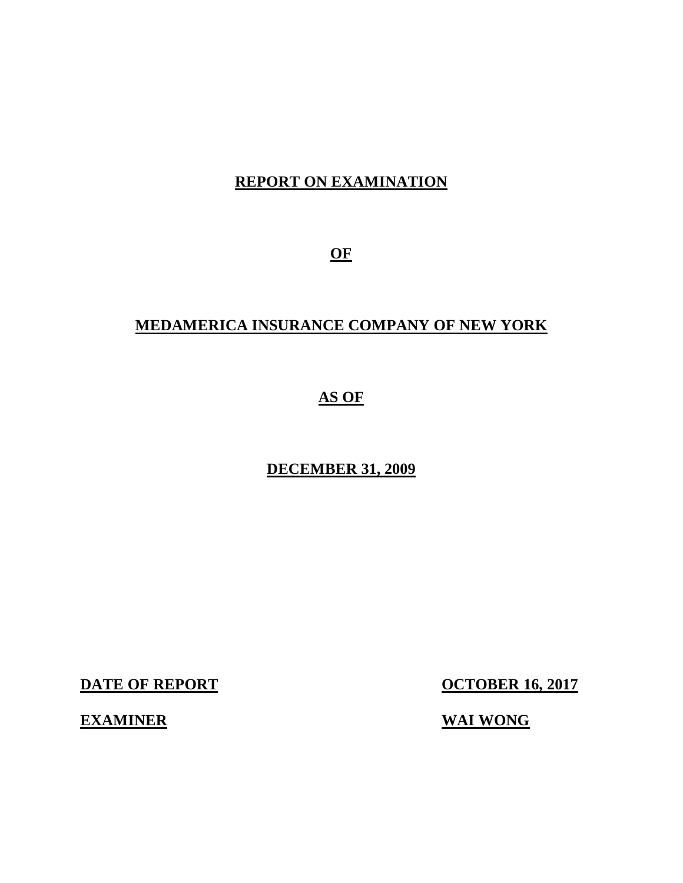# **REPORT ON EXAMINATION**

**OF** 

# **MEDAMERICA INSURANCE COMPANY OF NEW YORK**

# **AS OF**

# **DECEMBER 31, 2009**

**DATE OF REPORT** 

**OCTOBER 16, 2017** 

**EXAMINER** WAI WONG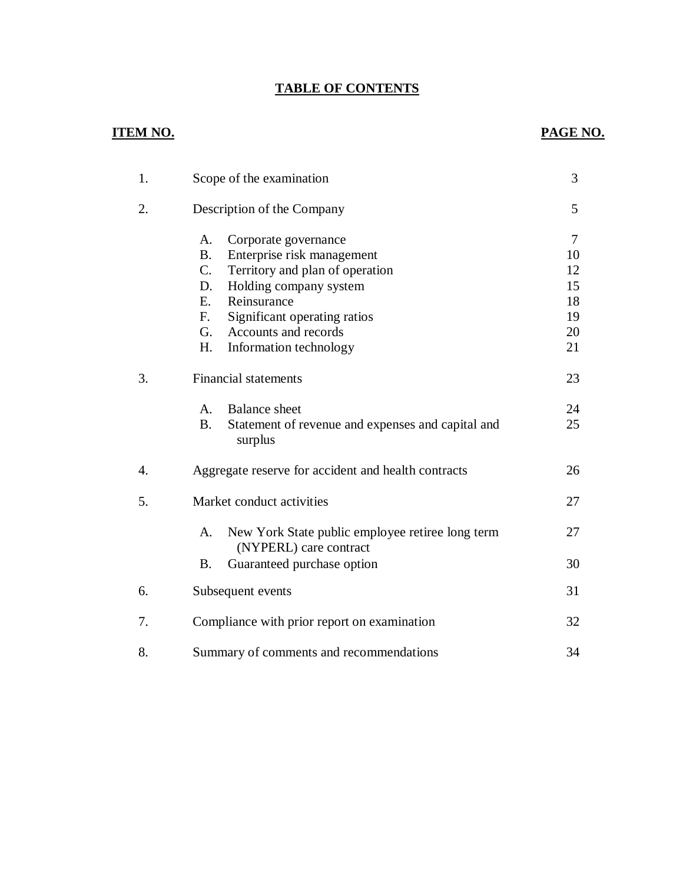### **TABLE OF CONTENTS**

# **ITEM NO.**

# **PAGE NO.**

| 1.               | Scope of the examination                                                                                                                                                                                                                                                                     |                                                  |
|------------------|----------------------------------------------------------------------------------------------------------------------------------------------------------------------------------------------------------------------------------------------------------------------------------------------|--------------------------------------------------|
| 2.               | Description of the Company                                                                                                                                                                                                                                                                   | 5                                                |
|                  | A.<br>Corporate governance<br><b>B.</b><br>Enterprise risk management<br>$C_{\cdot}$<br>Territory and plan of operation<br>Holding company system<br>D.<br>E.<br>Reinsurance<br>F <sub>r</sub><br>Significant operating ratios<br>Accounts and records<br>G.<br>H.<br>Information technology | $\tau$<br>10<br>12<br>15<br>18<br>19<br>20<br>21 |
| 3.               | <b>Financial statements</b>                                                                                                                                                                                                                                                                  | 23                                               |
|                  | A.<br><b>Balance</b> sheet<br><b>B.</b><br>Statement of revenue and expenses and capital and<br>surplus                                                                                                                                                                                      | 24<br>25                                         |
| $\overline{4}$ . | Aggregate reserve for accident and health contracts                                                                                                                                                                                                                                          | 26                                               |
| 5.               | Market conduct activities                                                                                                                                                                                                                                                                    | 27                                               |
|                  | New York State public employee retiree long term<br>A.<br>(NYPERL) care contract                                                                                                                                                                                                             | 27                                               |
|                  | Guaranteed purchase option<br><b>B.</b>                                                                                                                                                                                                                                                      | 30                                               |
| 6.               | Subsequent events                                                                                                                                                                                                                                                                            | 31                                               |
| 7.               | Compliance with prior report on examination                                                                                                                                                                                                                                                  | 32                                               |
| 8.               | Summary of comments and recommendations                                                                                                                                                                                                                                                      | 34                                               |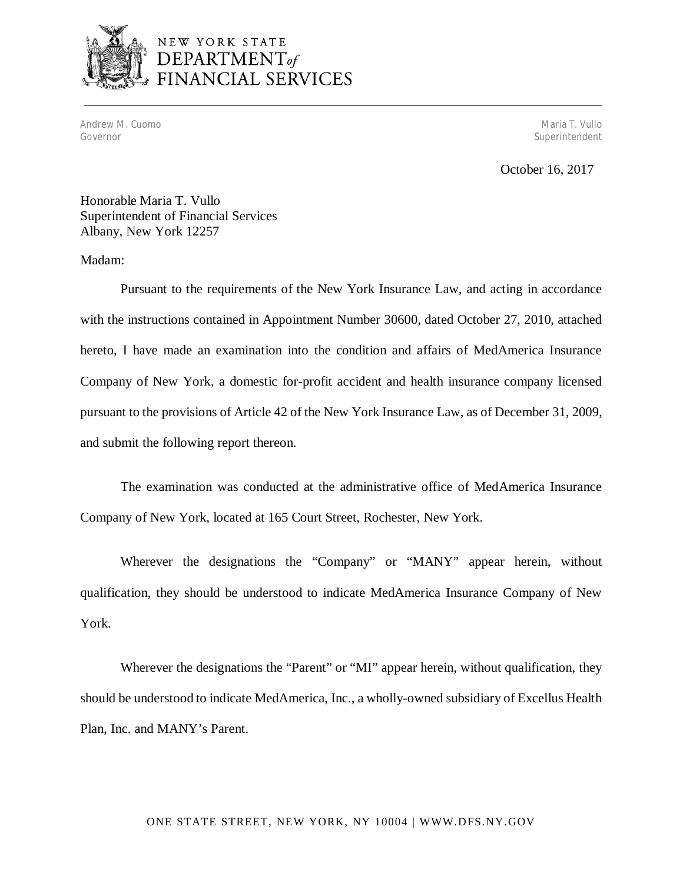

# NEW YORK STATE DEPARTMENT<sub>of</sub><br>FINANCIAL SERVICES

Andrew M. Cuomo Maria T. Vullo (1999), and the control of the control of the control of the control of the control of the control of the control of the control of the control of the control of the control of the control of Governor Superintendent and Superintendent and Superintendent and Superintendent and Superintendent and Superintendent and Superintendent and Superintendent and Superintendent and Superintendent and Superintendent and Supe

October 16, 2017

 Honorable Maria T. Vullo Superintendent of Financial Services Albany, New York 12257

#### Madam:

 Pursuant to the requirements of the New York Insurance Law, and acting in accordance with the instructions contained in Appointment Number 30600, dated October 27, 2010, attached hereto, I have made an examination into the condition and affairs of MedAmerica Insurance Company of New York, a domestic for-profit accident and health insurance company licensed pursuant to the provisions of Article 42 of the New York Insurance Law, as of December 31, 2009, and submit the following report thereon.

 The examination was conducted at the administrative office of MedAmerica Insurance Company of New York, located at 165 Court Street, Rochester, New York.

 Wherever the designations the "Company" or "MANY" appear herein, without qualification, they should be understood to indicate MedAmerica Insurance Company of New York.

 Wherever the designations the "Parent" or "MI" appear herein, without qualification, they should be understood to indicate MedAmerica, Inc., a wholly-owned subsidiary of Excellus Health Plan, Inc. and MANY's Parent.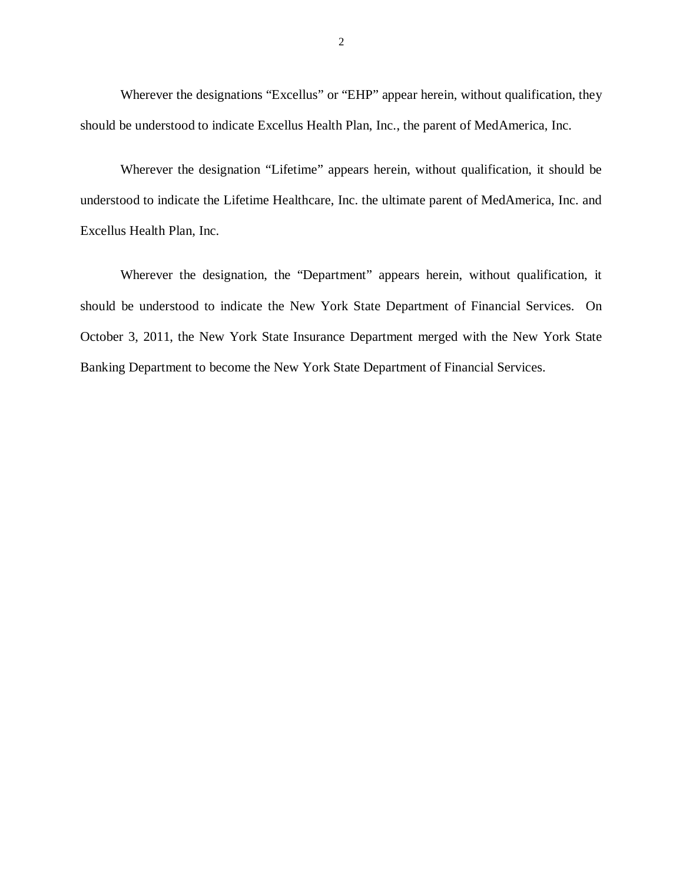Wherever the designations "Excellus" or "EHP" appear herein, without qualification, they should be understood to indicate Excellus Health Plan, Inc., the parent of MedAmerica, Inc.

 Wherever the designation "Lifetime" appears herein, without qualification, it should be understood to indicate the Lifetime Healthcare, Inc. the ultimate parent of MedAmerica, Inc. and Excellus Health Plan, Inc.

 Wherever the designation, the "Department" appears herein, without qualification, it should be understood to indicate the New York State Department of Financial Services. On October 3, 2011, the New York State Insurance Department merged with the New York State Banking Department to become the New York State Department of Financial Services.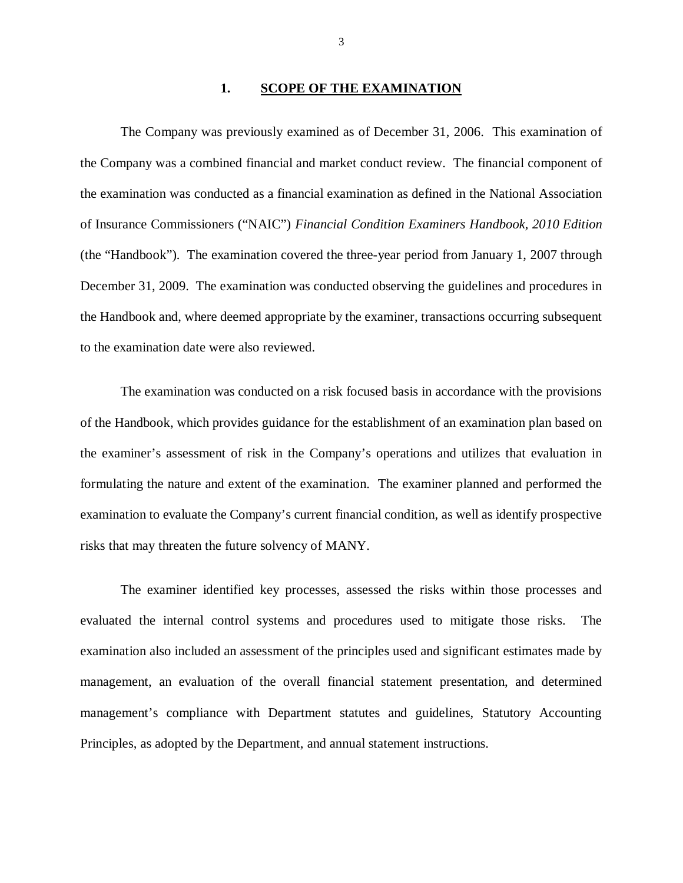#### **1. SCOPE OF THE EXAMINATION**

 The Company was previously examined as of December 31, 2006. This examination of the Company was a combined financial and market conduct review. The financial component of the examination was conducted as a financial examination as defined in the National Association of Insurance Commissioners ("NAIC") *Financial Condition Examiners Handbook, 2010 Edition*  (the "Handbook")*.* The examination covered the three-year period from January 1, 2007 through December 31, 2009. The examination was conducted observing the guidelines and procedures in the Handbook and, where deemed appropriate by the examiner, transactions occurring subsequent to the examination date were also reviewed.

 of the Handbook, which provides guidance for the establishment of an examination plan based on the examiner's assessment of risk in the Company's operations and utilizes that evaluation in formulating the nature and extent of the examination. The examiner planned and performed the examination to evaluate the Company's current financial condition, as well as identify prospective risks that may threaten the future solvency of MANY. The examination was conducted on a risk focused basis in accordance with the provisions

 evaluated the internal control systems and procedures used to mitigate those risks. The examination also included an assessment of the principles used and significant estimates made by management, an evaluation of the overall financial statement presentation, and determined management's compliance with Department statutes and guidelines, Statutory Accounting Principles, as adopted by the Department, and annual statement instructions. The examiner identified key processes, assessed the risks within those processes and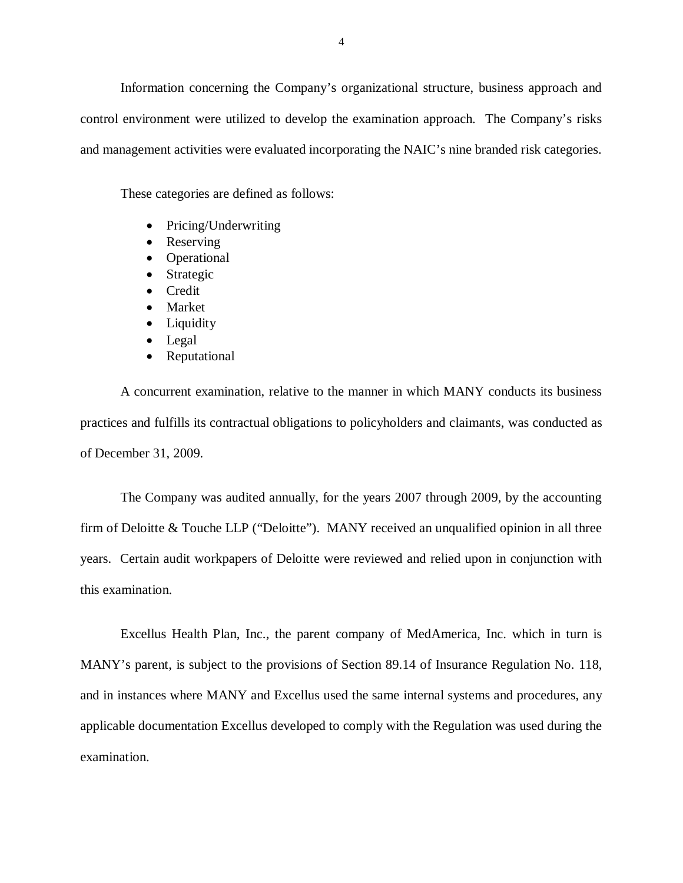Information concerning the Company's organizational structure, business approach and control environment were utilized to develop the examination approach. The Company's risks and management activities were evaluated incorporating the NAIC's nine branded risk categories.

These categories are defined as follows:

- Pricing/Underwriting
- Reserving
- Operational
- Strategic
- Credit
- Market
- Liquidity
- Legal
- Reputational

 A concurrent examination, relative to the manner in which MANY conducts its business practices and fulfills its contractual obligations to policyholders and claimants, was conducted as of December 31, 2009.

 The Company was audited annually, for the years 2007 through 2009, by the accounting firm of Deloitte & Touche LLP ("Deloitte"). MANY received an unqualified opinion in all three years. Certain audit workpapers of Deloitte were reviewed and relied upon in conjunction with this examination.

 this examination. Excellus Health Plan, Inc., the parent company of MedAmerica, Inc. which in turn is MANY's parent, is subject to the provisions of Section 89.14 of Insurance Regulation No. 118, and in instances where MANY and Excellus used the same internal systems and procedures, any applicable documentation Excellus developed to comply with the Regulation was used during the examination.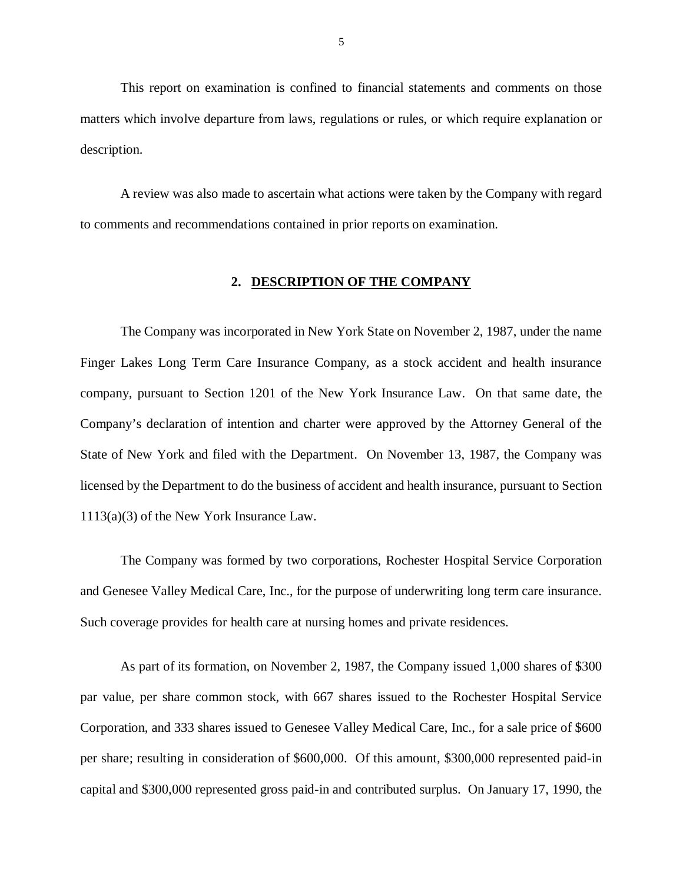matters which involve departure from laws, regulations or rules, or which require explanation or This report on examination is confined to financial statements and comments on those description.

 to comments and recommendations contained in prior reports on examination. A review was also made to ascertain what actions were taken by the Company with regard

#### **2. DESCRIPTION OF THE COMPANY**

 Finger Lakes Long Term Care Insurance Company, as a stock accident and health insurance company, pursuant to Section 1201 of the New York Insurance Law. On that same date, the Company's declaration of intention and charter were approved by the Attorney General of the State of New York and filed with the Department. On November 13, 1987, the Company was licensed by the Department to do the business of accident and health insurance, pursuant to Section 1113(a)(3) of the New York Insurance Law. The Company was incorporated in New York State on November 2, 1987, under the name

 and Genesee Valley Medical Care, Inc., for the purpose of underwriting long term care insurance. Such coverage provides for health care at nursing homes and private residences. The Company was formed by two corporations, Rochester Hospital Service Corporation

 par value, per share common stock, with 667 shares issued to the Rochester Hospital Service Corporation, and 333 shares issued to Genesee Valley Medical Care, Inc., for a sale price of \$600 per share; resulting in consideration of \$600,000. Of this amount, \$300,000 represented paid-in capital and \$300,000 represented gross paid-in and contributed surplus. On January 17, 1990, the As part of its formation, on November 2, 1987, the Company issued 1,000 shares of \$300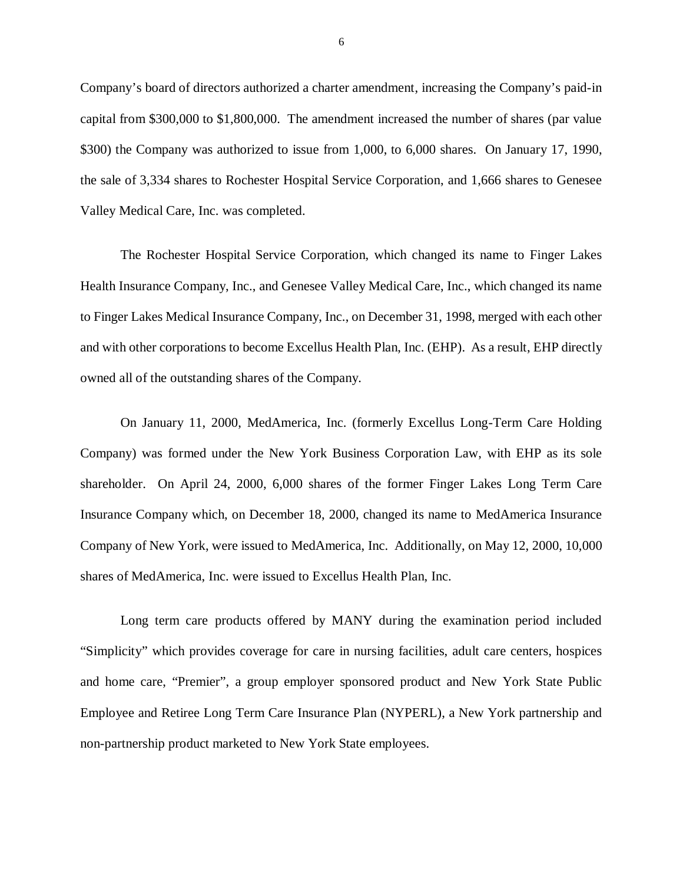Company's board of directors authorized a charter amendment, increasing the Company's paid-in capital from \$300,000 to \$1,800,000. The amendment increased the number of shares (par value \$300) the Company was authorized to issue from 1,000, to 6,000 shares. On January 17, 1990, the sale of 3,334 shares to Rochester Hospital Service Corporation, and 1,666 shares to Genesee Valley Medical Care, Inc. was completed.

 Health Insurance Company, Inc., and Genesee Valley Medical Care, Inc., which changed its name to Finger Lakes Medical Insurance Company, Inc., on December 31, 1998, merged with each other and with other corporations to become Excellus Health Plan, Inc. (EHP). As a result, EHP directly owned all of the outstanding shares of the Company. The Rochester Hospital Service Corporation, which changed its name to Finger Lakes

 Company) was formed under the New York Business Corporation Law, with EHP as its sole shareholder. On April 24, 2000, 6,000 shares of the former Finger Lakes Long Term Care Insurance Company which, on December 18, 2000, changed its name to MedAmerica Insurance Company of New York, were issued to MedAmerica, Inc. Additionally, on May 12, 2000, 10,000 shares of MedAmerica, Inc. were issued to Excellus Health Plan, Inc. On January 11, 2000, MedAmerica, Inc. (formerly Excellus Long-Term Care Holding

 Long term care products offered by MANY during the examination period included "Simplicity" which provides coverage for care in nursing facilities, adult care centers, hospices and home care, "Premier", a group employer sponsored product and New York State Public Employee and Retiree Long Term Care Insurance Plan (NYPERL), a New York partnership and non-partnership product marketed to New York State employees.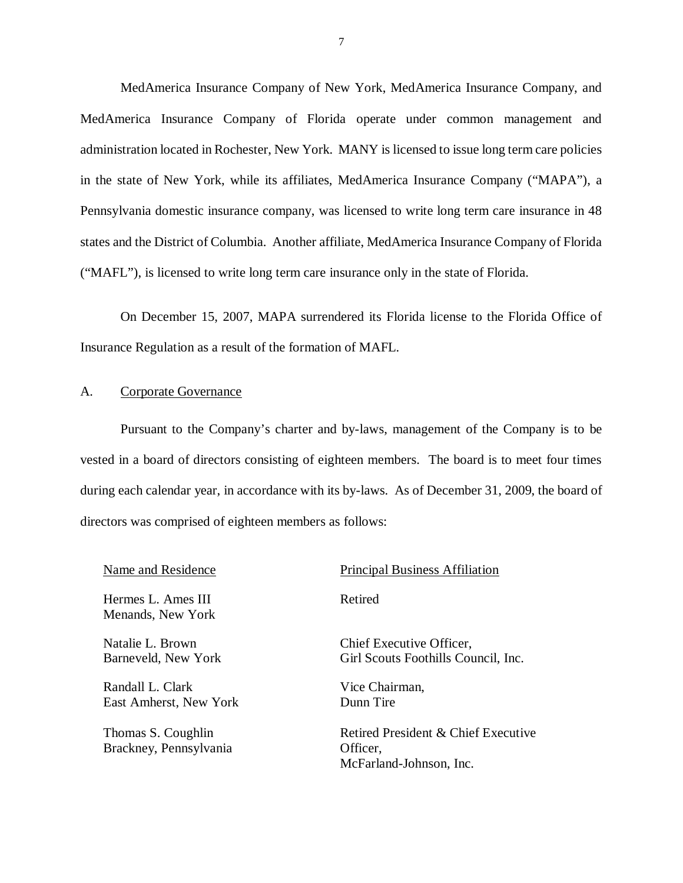MedAmerica Insurance Company of New York, MedAmerica Insurance Company, and MedAmerica Insurance Company of Florida operate under common management and administration located in Rochester, New York. MANY is licensed to issue long term care policies in the state of New York, while its affiliates, MedAmerica Insurance Company ("MAPA"), a Pennsylvania domestic insurance company, was licensed to write long term care insurance in 48 states and the District of Columbia. Another affiliate, MedAmerica Insurance Company of Florida ("MAFL"), is licensed to write long term care insurance only in the state of Florida.

 On December 15, 2007, MAPA surrendered its Florida license to the Florida Office of Insurance Regulation as a result of the formation of MAFL.

#### A. Corporate Governance

 Pursuant to the Company's charter and by-laws, management of the Company is to be vested in a board of directors consisting of eighteen members. The board is to meet four times during each calendar year, in accordance with its by-laws. As of December 31, 2009, the board of directors was comprised of eighteen members as follows:

| Name and Residence                           | <b>Principal Business Affiliation</b>                                      |
|----------------------------------------------|----------------------------------------------------------------------------|
| Hermes L. Ames III<br>Menands, New York      | Retired                                                                    |
| Natalie L. Brown<br>Barneveld, New York      | Chief Executive Officer,<br>Girl Scouts Foothills Council, Inc.            |
| Randall L. Clark<br>East Amherst, New York   | Vice Chairman,<br>Dunn Tire                                                |
| Thomas S. Coughlin<br>Brackney, Pennsylvania | Retired President & Chief Executive<br>Officer,<br>McFarland-Johnson, Inc. |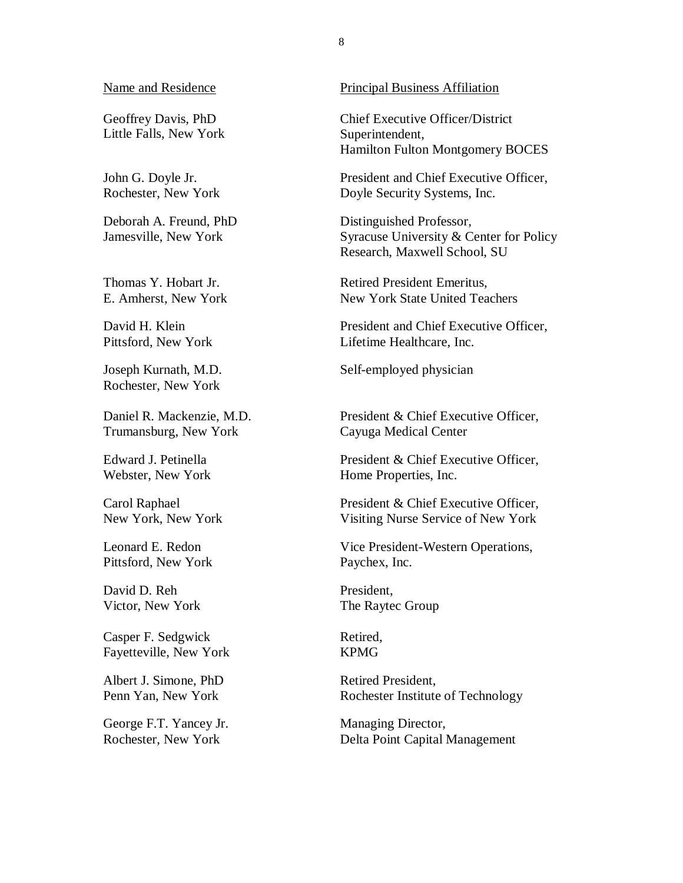#### Name and Residence

 Geoffrey Davis, PhD Little Falls, New York

 John G. Doyle Jr. Rochester, New York

 Deborah A. Freund, PhD Jamesville, New York

 Thomas Y. Hobart Jr. E. Amherst, New York

 David H. Klein Pittsford, New York

 Joseph Kurnath, M.D. Rochester, New York

 Daniel R. Mackenzie, M.D. Trumansburg, New York

 Edward J. Petinella Webster, New York

 Carol Raphael New York, New York

 Leonard E. Redon Pittsford, New York

 David D. Reh Victor, New York

 Casper F. Sedgwick Fayetteville, New York

 Albert J. Simone, PhD Penn Yan, New York

 George F.T. Yancey Jr. Rochester, New York

#### Principal Business Affiliation

 Chief Executive Officer/District Hamilton Fulton Montgomery BOCES Superintendent,

 President and Chief Executive Officer, Doyle Security Systems, Inc.

 Syracuse University & Center for Policy Research, Maxwell School, SU Distinguished Professor,

 Retired President Emeritus, New York State United Teachers

 President and Chief Executive Officer, Lifetime Healthcare, Inc.

Self-employed physician

 President & Chief Executive Officer, Cayuga Medical Center

 President & Chief Executive Officer, Home Properties, Inc.

 President & Chief Executive Officer, Visiting Nurse Service of New York

 Vice President-Western Operations, Paychex, Inc.

President, The Raytec Group

Retired, KPMG

Retired President, Rochester Institute of Technology

Managing Director, Delta Point Capital Management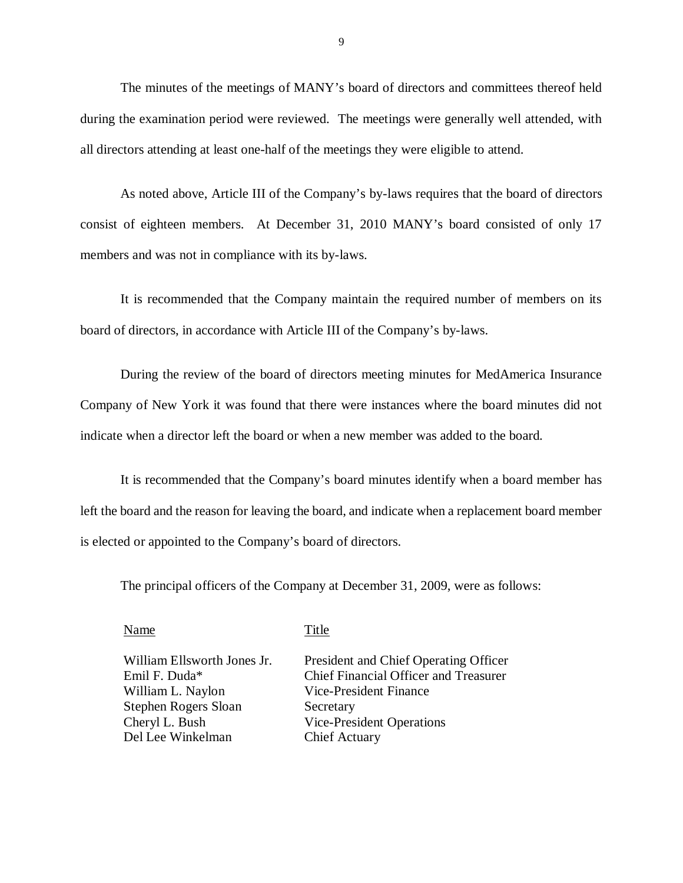The minutes of the meetings of MANY's board of directors and committees thereof held during the examination period were reviewed. The meetings were generally well attended, with all directors attending at least one-half of the meetings they were eligible to attend.

 As noted above, Article III of the Company's by-laws requires that the board of directors consist of eighteen members. At December 31, 2010 MANY's board consisted of only 17 members and was not in compliance with its by-laws.

 It is recommended that the Company maintain the required number of members on its board of directors, in accordance with Article III of the Company's by-laws.

 During the review of the board of directors meeting minutes for MedAmerica Insurance Company of New York it was found that there were instances where the board minutes did not indicate when a director left the board or when a new member was added to the board.

 It is recommended that the Company's board minutes identify when a board member has left the board and the reason for leaving the board, and indicate when a replacement board member is elected or appointed to the Company's board of directors.

The principal officers of the Company at December 31, 2009, were as follows:

Name Title

 William Ellsworth Jones Jr. Emil F. Duda\* William L. Naylon Stephen Rogers Sloan Cheryl L. Bush Del Lee Winkelman

President and Chief Operating Officer Chief Financial Officer and Treasurer Vice-President Finance Secretary Vice-President Operations Chief Actuary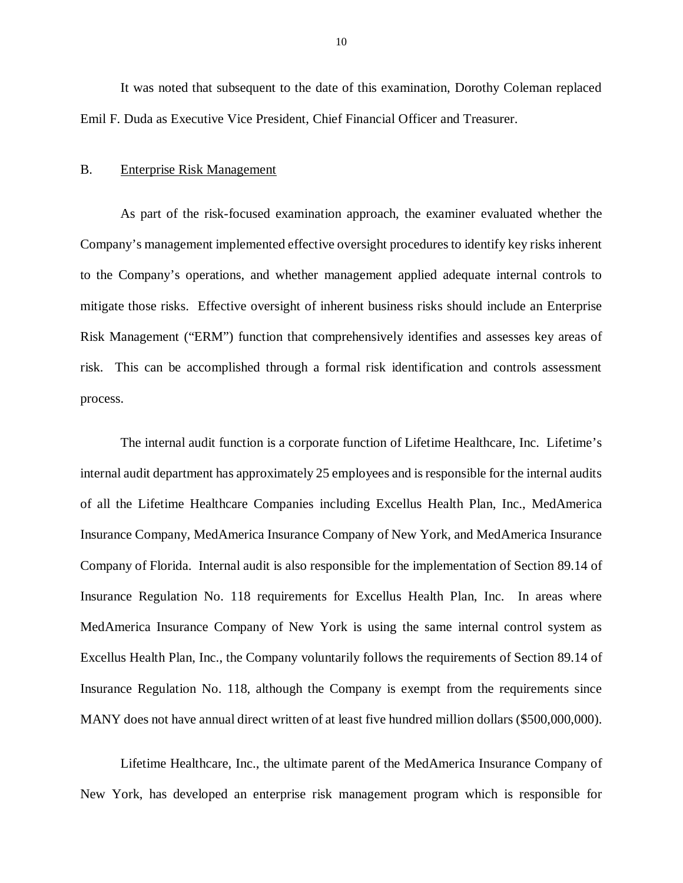<span id="page-11-0"></span> It was noted that subsequent to the date of this examination, Dorothy Coleman replaced Emil F. Duda as Executive Vice President, Chief Financial Officer and Treasurer.

#### B. Enterprise Risk Management

 As part of the risk-focused examination approach, the examiner evaluated whether the Company's management implemented effective oversight procedures to identify key risks inherent to the Company's operations, and whether management applied adequate internal controls to mitigate those risks. Effective oversight of inherent business risks should include an Enterprise Risk Management ("ERM") function that comprehensively identifies and assesses key areas of risk. This can be accomplished through a formal risk identification and controls assessment process. process.<br>The internal audit function is a corporate function of Lifetime Healthcare, Inc. Lifetime's

 internal audit department has approximately 25 employees and is responsible for the internal audits of all the Lifetime Healthcare Companies including Excellus Health Plan, Inc., MedAmerica Insurance Company, MedAmerica Insurance Company of New York, and MedAmerica Insurance Company of Florida. Internal audit is also responsible for the implementation of Section 89.14 of Insurance Regulation No. 118 requirements for Excellus Health Plan, Inc. In areas where MedAmerica Insurance Company of New York is using the same internal control system as Excellus Health Plan, Inc., the Company voluntarily follows the requirements of Section 89.14 of Insurance Regulation No. 118, although the Company is exempt from the requirements since MANY does not have annual direct written of at least five hundred million dollars (\$500,000,000).

 Lifetime Healthcare, Inc., the ultimate parent of the MedAmerica Insurance Company of New York, has developed an enterprise risk management program which is responsible for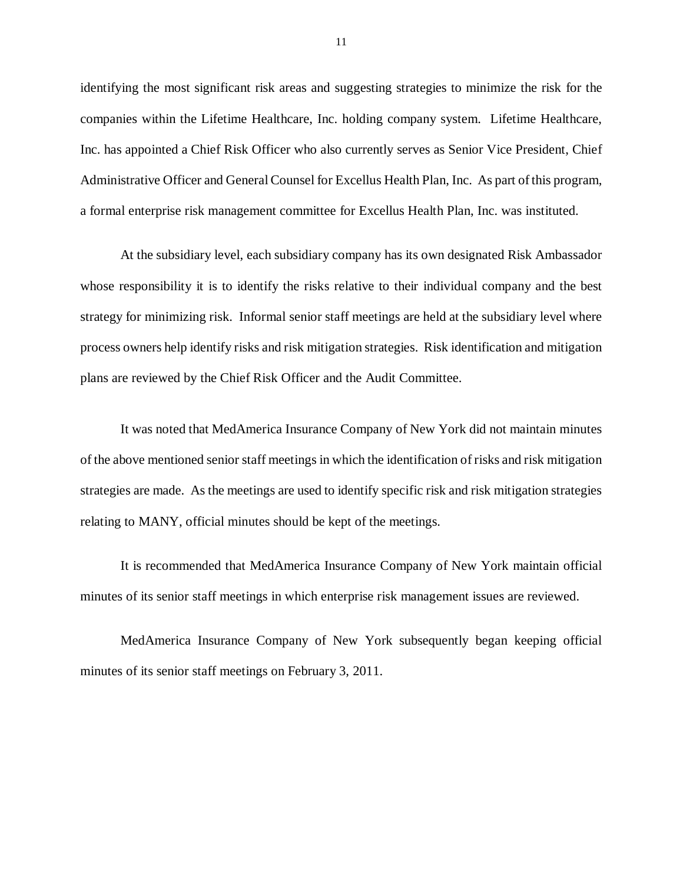identifying the most significant risk areas and suggesting strategies to minimize the risk for the companies within the Lifetime Healthcare, Inc. holding company system. Lifetime Healthcare, Inc. has appointed a Chief Risk Officer who also currently serves as Senior Vice President, Chief Administrative Officer and General Counsel for Excellus Health Plan, Inc. As part of this program, a formal enterprise risk management committee for Excellus Health Plan, Inc. was instituted.

 At the subsidiary level, each subsidiary company has its own designated Risk Ambassador whose responsibility it is to identify the risks relative to their individual company and the best strategy for minimizing risk. Informal senior staff meetings are held at the subsidiary level where process owners help identify risks and risk mitigation strategies. Risk identification and mitigation plans are reviewed by the Chief Risk Officer and the Audit Committee.

 It was noted that MedAmerica Insurance Company of New York did not maintain minutes of the above mentioned senior staff meetings in which the identification of risks and risk mitigation strategies are made. As the meetings are used to identify specific risk and risk mitigation strategies relating to MANY, official minutes should be kept of the meetings.

 It is recommended that MedAmerica Insurance Company of New York maintain official minutes of its senior staff meetings in which enterprise risk management issues are reviewed.

 MedAmerica Insurance Company of New York subsequently began keeping official minutes of its senior staff meetings on February 3, 2011.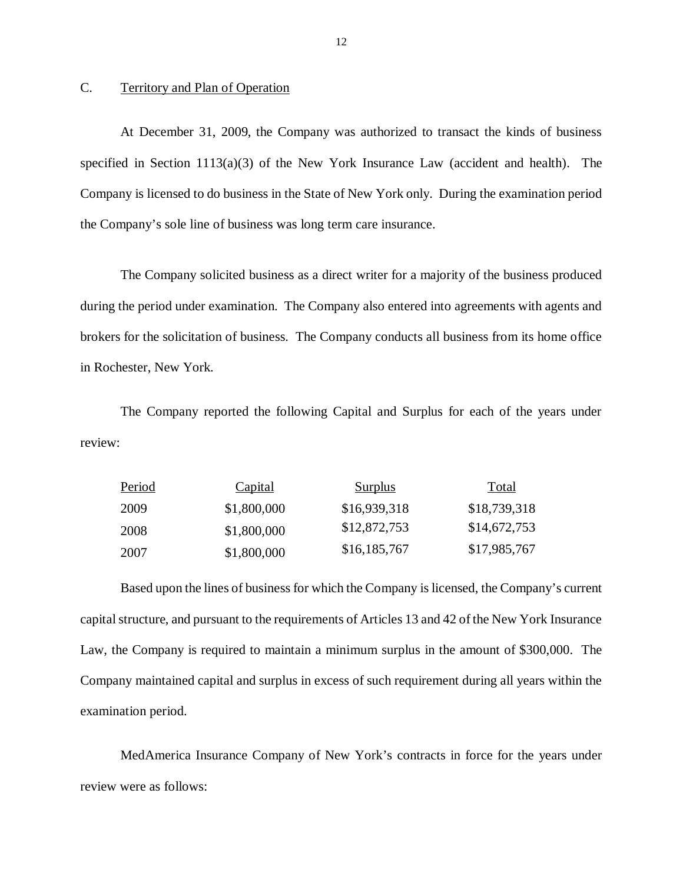#### C. Territory and Plan of Operation

 At December 31, 2009, the Company was authorized to transact the kinds of business specified in Section 1113(a)(3) of the New York Insurance Law (accident and health). The Company is licensed to do business in the State of New York only. During the examination period the Company's sole line of business was long term care insurance.

 during the period under examination. The Company also entered into agreements with agents and brokers for the solicitation of business. The Company conducts all business from its home office in Rochester, New York. The Company solicited business as a direct writer for a majority of the business produced

The Company reported the following Capital and Surplus for each of the years under review:

| Period | <b>Capital</b> | <b>Surplus</b> | Total        |
|--------|----------------|----------------|--------------|
| 2009   | \$1,800,000    | \$16,939,318   | \$18,739,318 |
| 2008   | \$1,800,000    | \$12,872,753   | \$14,672,753 |
| 2007   | \$1,800,000    | \$16,185,767   | \$17,985,767 |

 Based upon the lines of business for which the Company is licensed, the Company's current capital structure, and pursuant to the requirements of Articles 13 and 42 of the New York Insurance Law, the Company is required to maintain a minimum surplus in the amount of \$300,000. The Company maintained capital and surplus in excess of such requirement during all years within the examination period.

 MedAmerica Insurance Company of New York's contracts in force for the years under review were as follows: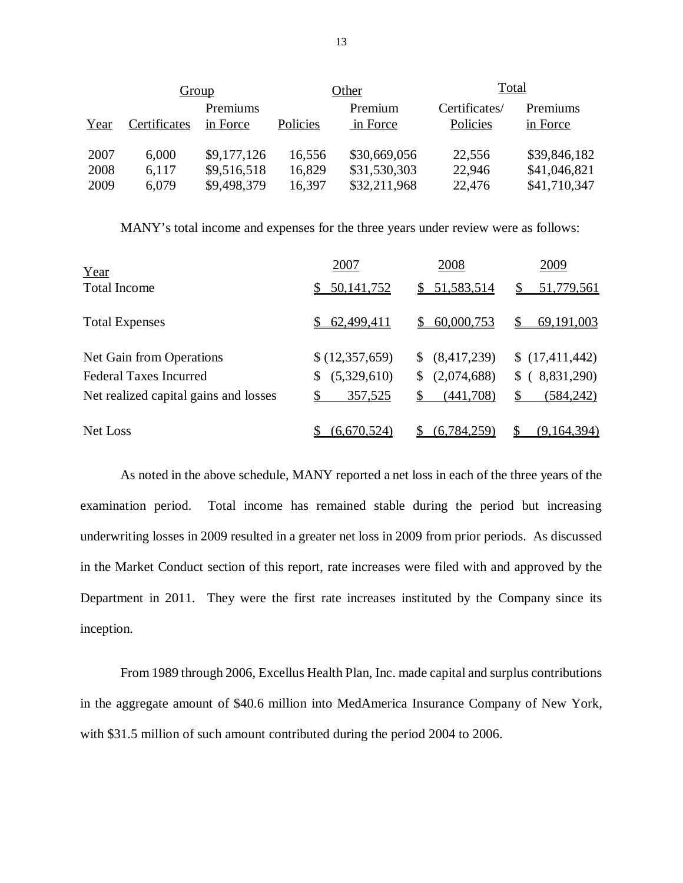|                      | Group                   |                                           |                  | Other                                        | <b>Total</b>              |                                              |
|----------------------|-------------------------|-------------------------------------------|------------------|----------------------------------------------|---------------------------|----------------------------------------------|
| Year                 | Certificates            | Premiums<br>in Force                      | Policies         | Premium<br>in Force                          | Certificates/<br>Policies | Premiums<br>in Force                         |
| 2007<br>2008<br>2009 | 6,000<br>6,117<br>6,079 | \$9,177,126<br>\$9,516,518<br>\$9,498,379 | 16,556<br>16,829 | \$30,669,056<br>\$31,530,303<br>\$32,211,968 | 22,556<br>22,946          | \$39,846,182<br>\$41,046,821<br>\$41,710,347 |
|                      |                         |                                           | 16,397           |                                              | 22,476                    |                                              |

MANY's total income and expenses for the three years under review were as follows:

| Year                                  | 2007             | 2008              | 2009              |
|---------------------------------------|------------------|-------------------|-------------------|
| <b>Total Income</b>                   | 50, 141, 752     | \$51,583,514      | 51,779,561        |
| <b>Total Expenses</b>                 | \$62,499,411     | 60,000,753<br>S.  | S<br>69,191,003   |
| Net Gain from Operations              | \$(12,357,659)   | (8,417,239)<br>S. | \$(17,411,442)    |
| <b>Federal Taxes Incurred</b>         | (5,329,610)<br>S | (2,074,688)<br>S  | (8,831,290)<br>\$ |
| Net realized capital gains and losses | 357,525<br>\$    | S<br>(441,708)    | (584, 242)<br>\$  |
| Net Loss                              | (6,670,524)      | (6,784,259)       | (9,164,394)       |

 examination period. Total income has remained stable during the period but increasing underwriting losses in 2009 resulted in a greater net loss in 2009 from prior periods. As discussed in the Market Conduct section of this report, rate increases were filed with and approved by the Department in 2011. They were the first rate increases instituted by the Company since its As noted in the above schedule, MANY reported a net loss in each of the three years of the inception.

 From 1989 through 2006, Excellus Health Plan, Inc. made capital and surplus contributions in the aggregate amount of \$40.6 million into MedAmerica Insurance Company of New York, with \$31.5 million of such amount contributed during the period 2004 to 2006.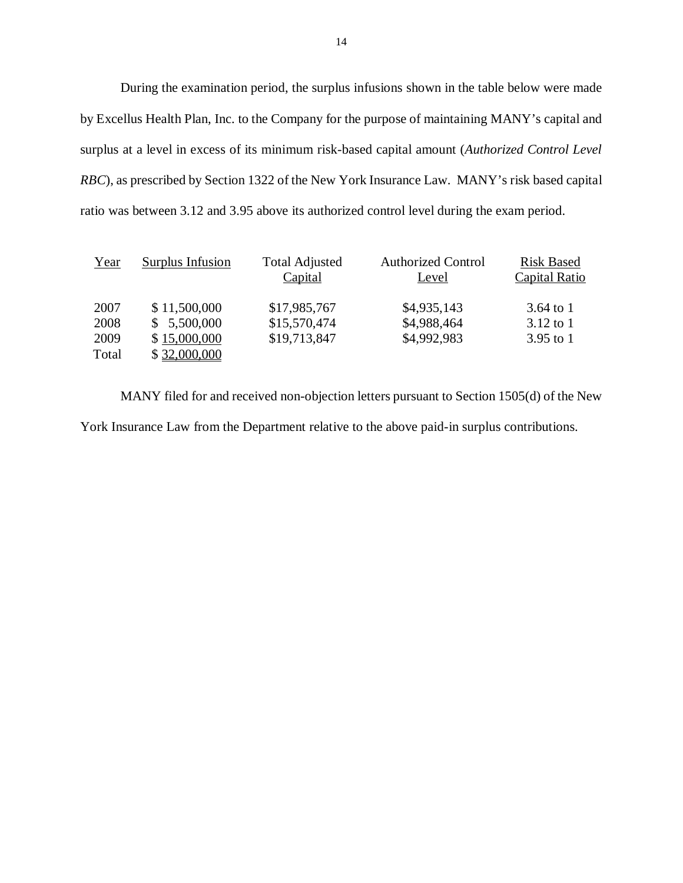During the examination period, the surplus infusions shown in the table below were made by Excellus Health Plan, Inc. to the Company for the purpose of maintaining MANY's capital and surplus at a level in excess of its minimum risk-based capital amount (*Authorized Control Level RBC*), as prescribed by Section 1322 of the New York Insurance Law. MANY's risk based capital ratio was between 3.12 and 3.95 above its authorized control level during the exam period.

| Year  | Surplus Infusion | <b>Total Adjusted</b><br>Capital | <b>Authorized Control</b><br>Level | <b>Risk Based</b><br>Capital Ratio |
|-------|------------------|----------------------------------|------------------------------------|------------------------------------|
| 2007  | \$11,500,000     | \$17,985,767                     | \$4,935,143                        | $3.64$ to 1                        |
| 2008  | \$5,500,000      | \$15,570,474                     | \$4,988,464                        | $3.12$ to 1                        |
| 2009  | \$15,000,000     | \$19,713,847                     | \$4,992,983                        | $3.95$ to 1                        |
| Total | \$32,000,000     |                                  |                                    |                                    |

 MANY filed for and received non-objection letters pursuant to Section 1505(d) of the New York Insurance Law from the Department relative to the above paid-in surplus contributions.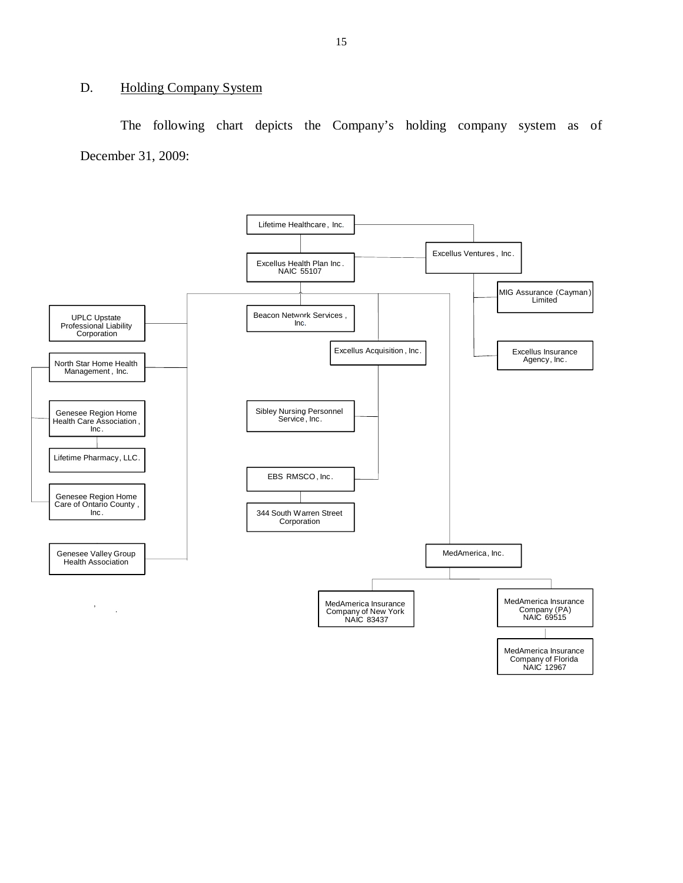#### <span id="page-16-0"></span>D. Holding Company System

 December 31, 2009: The following chart depicts the Company's holding company system as of

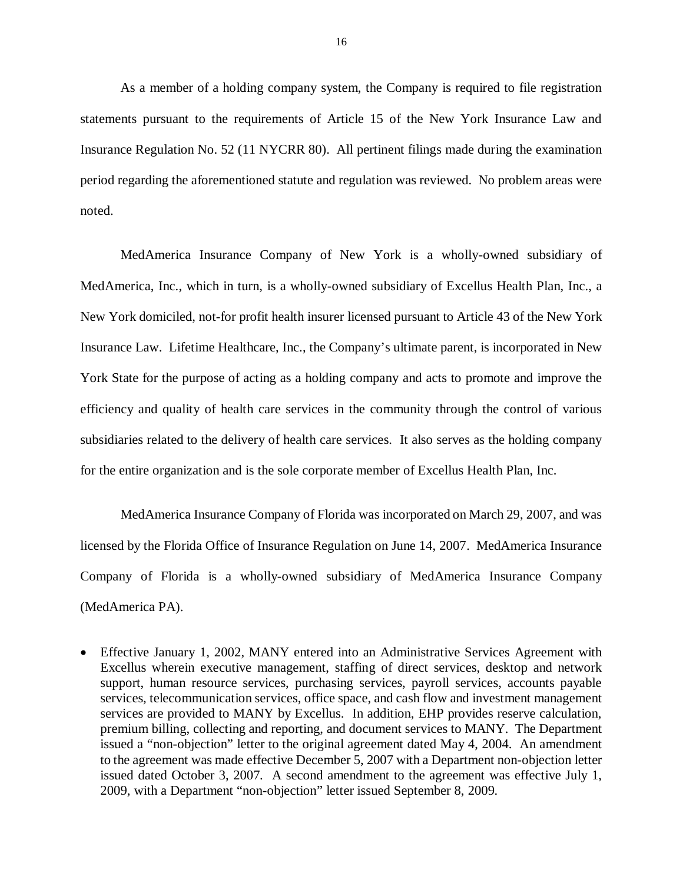statements pursuant to the requirements of Article 15 of the New York Insurance Law and Insurance Regulation No. 52 (11 NYCRR 80). All pertinent filings made during the examination period regarding the aforementioned statute and regulation was reviewed. No problem areas were As a member of a holding company system, the Company is required to file registration noted.

 MedAmerica Insurance Company of New York is a wholly-owned subsidiary of MedAmerica, Inc., which in turn, is a wholly-owned subsidiary of Excellus Health Plan, Inc., a New York domiciled, not-for profit health insurer licensed pursuant to Article 43 of the New York Insurance Law. Lifetime Healthcare, Inc., the Company's ultimate parent, is incorporated in New York State for the purpose of acting as a holding company and acts to promote and improve the efficiency and quality of health care services in the community through the control of various subsidiaries related to the delivery of health care services. It also serves as the holding company for the entire organization and is the sole corporate member of Excellus Health Plan, Inc.

 MedAmerica Insurance Company of Florida was incorporated on March 29, 2007, and was licensed by the Florida Office of Insurance Regulation on June 14, 2007. MedAmerica Insurance Company of Florida is a wholly-owned subsidiary of MedAmerica Insurance Company (MedAmerica PA).

 Effective January 1, 2002, MANY entered into an Administrative Services Agreement with Excellus wherein executive management, staffing of direct services, desktop and network support, human resource services, purchasing services, payroll services, accounts payable services, telecommunication services, office space, and cash flow and investment management services are provided to MANY by Excellus. In addition, EHP provides reserve calculation, premium billing, collecting and reporting, and document services to MANY. The Department issued a "non-objection" letter to the original agreement dated May 4, 2004. An amendment to the agreement was made effective December 5, 2007 with a Department non-objection letter issued dated October 3, 2007. A second amendment to the agreement was effective July 1, 2009, with a Department "non-objection" letter issued September 8, 2009.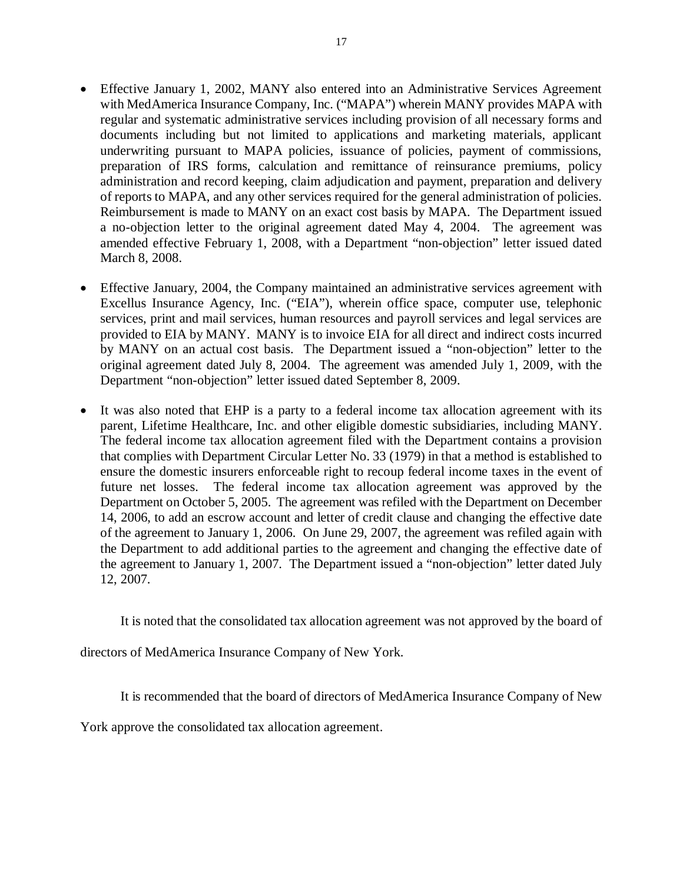- Effective January 1, 2002, MANY also entered into an Administrative Services Agreement with MedAmerica Insurance Company, Inc. ("MAPA") wherein MANY provides MAPA with regular and systematic administrative services including provision of all necessary forms and documents including but not limited to applications and marketing materials, applicant underwriting pursuant to MAPA policies, issuance of policies, payment of commissions, preparation of IRS forms, calculation and remittance of reinsurance premiums, policy administration and record keeping, claim adjudication and payment, preparation and delivery of reports to MAPA, and any other services required for the general administration of policies. Reimbursement is made to MANY on an exact cost basis by MAPA. The Department issued a no-objection letter to the original agreement dated May 4, 2004. The agreement was amended effective February 1, 2008, with a Department "non-objection" letter issued dated March 8, 2008.
- Effective January, 2004, the Company maintained an administrative services agreement with Excellus Insurance Agency, Inc. ("EIA"), wherein office space, computer use, telephonic services, print and mail services, human resources and payroll services and legal services are provided to EIA by MANY. MANY is to invoice EIA for all direct and indirect costs incurred by MANY on an actual cost basis. The Department issued a "non-objection" letter to the original agreement dated July 8, 2004. The agreement was amended July 1, 2009, with the Department "non-objection" letter issued dated September 8, 2009.
- It was also noted that EHP is a party to a federal income tax allocation agreement with its parent, Lifetime Healthcare, Inc. and other eligible domestic subsidiaries, including MANY. The federal income tax allocation agreement filed with the Department contains a provision that complies with Department Circular Letter No. 33 (1979) in that a method is established to ensure the domestic insurers enforceable right to recoup federal income taxes in the event of future net losses. Department on October 5, 2005. The agreement was refiled with the Department on December 14, 2006, to add an escrow account and letter of credit clause and changing the effective date of the agreement to January 1, 2006. On June 29, 2007, the agreement was refiled again with the Department to add additional parties to the agreement and changing the effective date of the agreement to January 1, 2007. The Department issued a "non-objection" letter dated July 12, 2007. The federal income tax allocation agreement was approved by the

It is noted that the consolidated tax allocation agreement was not approved by the board of

directors of MedAmerica Insurance Company of New York.

It is recommended that the board of directors of MedAmerica Insurance Company of New

York approve the consolidated tax allocation agreement.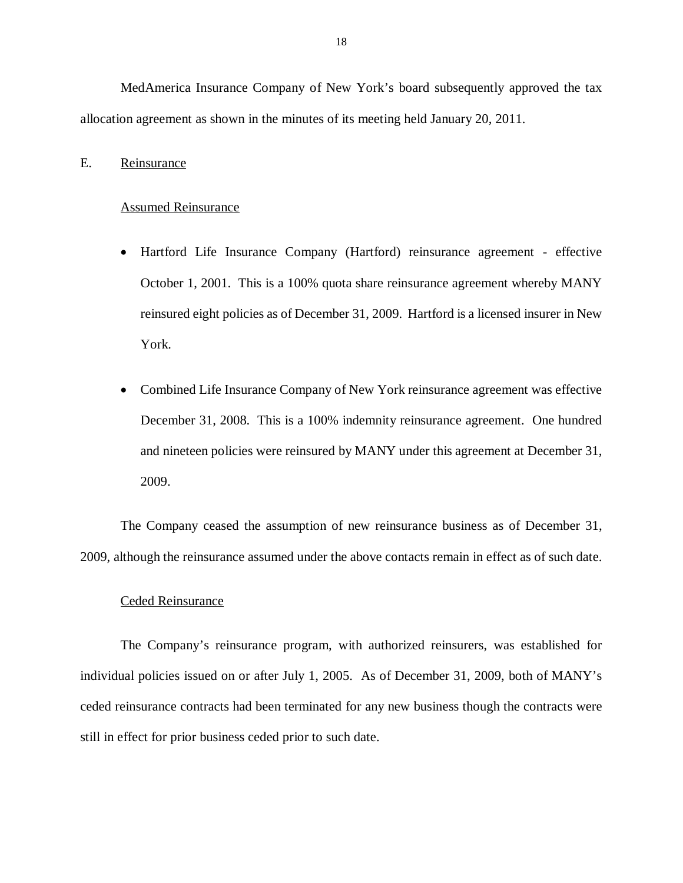<span id="page-19-0"></span> MedAmerica Insurance Company of New York's board subsequently approved the tax allocation agreement as shown in the minutes of its meeting held January 20, 2011.

# Reinsurance E. Reinsurance<br>Assumed Reinsurance

- Hartford Life Insurance Company (Hartford) reinsurance agreement effective October 1, 2001. This is a 100% quota share reinsurance agreement whereby MANY reinsured eight policies as of December 31, 2009. Hartford is a licensed insurer in New York.
- Combined Life Insurance Company of New York reinsurance agreement was effective December 31, 2008. This is a 100% indemnity reinsurance agreement. One hundred and nineteen policies were reinsured by MANY under this agreement at December 31, 2009.

 The Company ceased the assumption of new reinsurance business as of December 31, 2009, although the reinsurance assumed under the above contacts remain in effect as of such date.

#### Ceded Reinsurance

 The Company's reinsurance program, with authorized reinsurers, was established for individual policies issued on or after July 1, 2005. As of December 31, 2009, both of MANY's ceded reinsurance contracts had been terminated for any new business though the contracts were still in effect for prior business ceded prior to such date.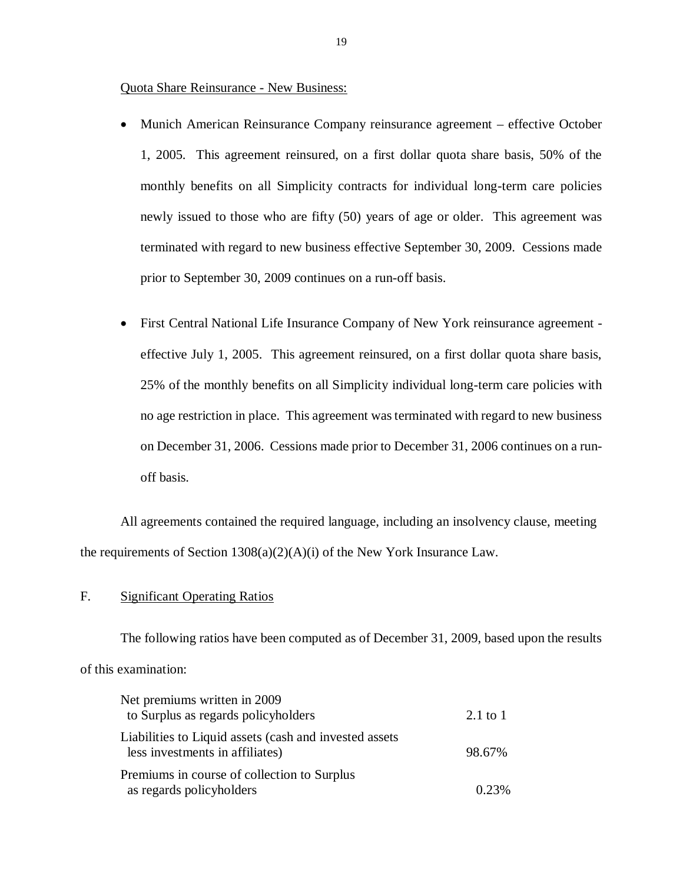<span id="page-20-0"></span>Quota Share Reinsurance - New Business:

- Munich American Reinsurance Company reinsurance agreement effective October 1, 2005. This agreement reinsured, on a first dollar quota share basis, 50% of the monthly benefits on all Simplicity contracts for individual long-term care policies newly issued to those who are fifty (50) years of age or older. This agreement was terminated with regard to new business effective September 30, 2009. Cessions made prior to September 30, 2009 continues on a run-off basis.
- First Central National Life Insurance Company of New York reinsurance agreement effective July 1, 2005. This agreement reinsured, on a first dollar quota share basis, 25% of the monthly benefits on all Simplicity individual long-term care policies with no age restriction in place. This agreement was terminated with regard to new business on December 31, 2006. Cessions made prior to December 31, 2006 continues on a run-off basis.

 All agreements contained the required language, including an insolvency clause, meeting the requirements of Section  $1308(a)(2)(A)(i)$  of the New York Insurance Law.

#### F. Significant Operating Ratios

 The following ratios have been computed as of December 31, 2009, based upon the results of this examination:

| Net premiums written in 2009                                                               |                     |
|--------------------------------------------------------------------------------------------|---------------------|
| to Surplus as regards policyholders                                                        | $2.1 \text{ to } 1$ |
| Liabilities to Liquid assets (cash and invested assets)<br>less investments in affiliates) | 98.67%              |
| Premiums in course of collection to Surplus                                                |                     |
| as regards policyholders                                                                   | 0.23%               |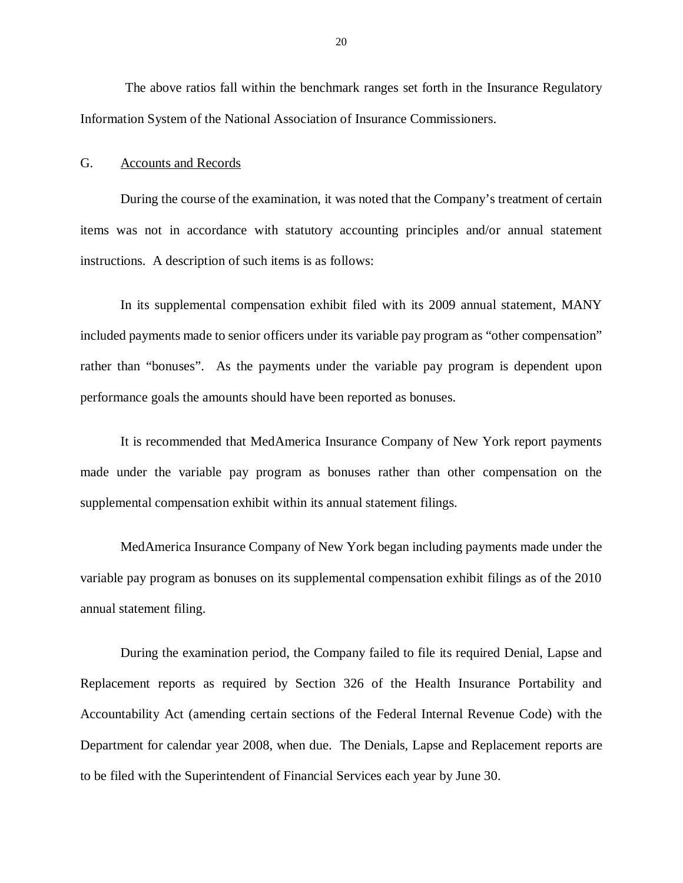<span id="page-21-0"></span> The above ratios fall within the benchmark ranges set forth in the Insurance Regulatory Information System of the National Association of Insurance Commissioners.

#### G. Accounts and Records

 During the course of the examination, it was noted that the Company's treatment of certain items was not in accordance with statutory accounting principles and/or annual statement instructions. A description of such items is as follows:

 In its supplemental compensation exhibit filed with its 2009 annual statement, MANY included payments made to senior officers under its variable pay program as "other compensation" rather than "bonuses". As the payments under the variable pay program is dependent upon performance goals the amounts should have been reported as bonuses.

 It is recommended that MedAmerica Insurance Company of New York report payments made under the variable pay program as bonuses rather than other compensation on the supplemental compensation exhibit within its annual statement filings.

 MedAmerica Insurance Company of New York began including payments made under the variable pay program as bonuses on its supplemental compensation exhibit filings as of the 2010 annual statement filing.

 During the examination period, the Company failed to file its required Denial, Lapse and Replacement reports as required by Section 326 of the Health Insurance Portability and Accountability Act (amending certain sections of the Federal Internal Revenue Code) with the Department for calendar year 2008, when due. The Denials, Lapse and Replacement reports are to be filed with the Superintendent of Financial Services each year by June 30.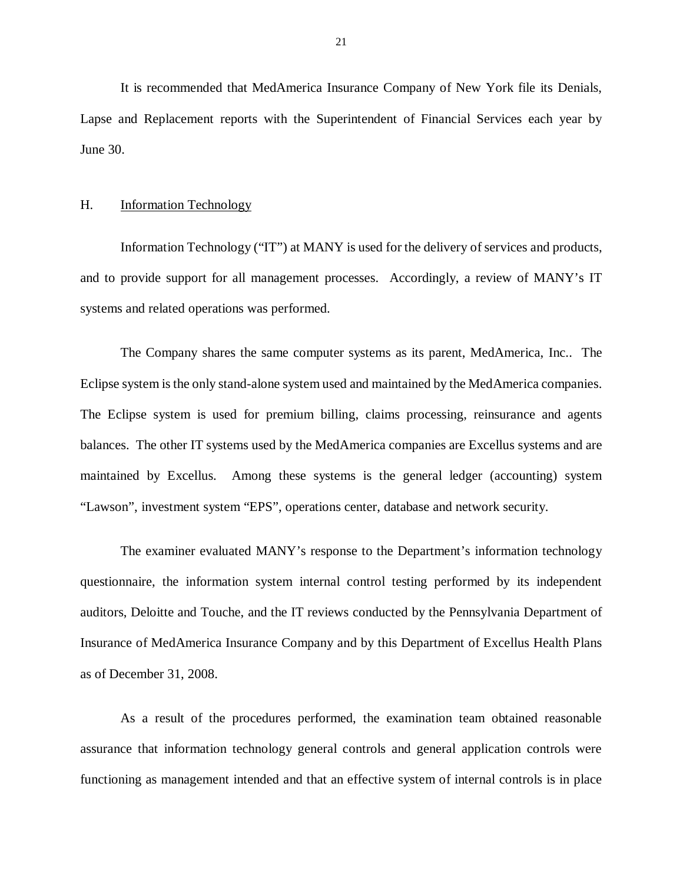<span id="page-22-0"></span> It is recommended that MedAmerica Insurance Company of New York file its Denials, Lapse and Replacement reports with the Superintendent of Financial Services each year by June 30.

#### H. **Information Technology**

 Information Technology ("IT") at MANY is used for the delivery of services and products, and to provide support for all management processes. Accordingly, a review of MANY's IT systems and related operations was performed.

 The Company shares the same computer systems as its parent, MedAmerica, Inc.. The Eclipse system is the only stand-alone system used and maintained by the MedAmerica companies. The Eclipse system is used for premium billing, claims processing, reinsurance and agents balances. The other IT systems used by the MedAmerica companies are Excellus systems and are maintained by Excellus. Among these systems is the general ledger (accounting) system "Lawson", investment system "EPS", operations center, database and network security.

 The examiner evaluated MANY's response to the Department's information technology questionnaire, the information system internal control testing performed by its independent auditors, Deloitte and Touche, and the IT reviews conducted by the Pennsylvania Department of Insurance of MedAmerica Insurance Company and by this Department of Excellus Health Plans as of December 31, 2008.

 As a result of the procedures performed, the examination team obtained reasonable assurance that information technology general controls and general application controls were functioning as management intended and that an effective system of internal controls is in place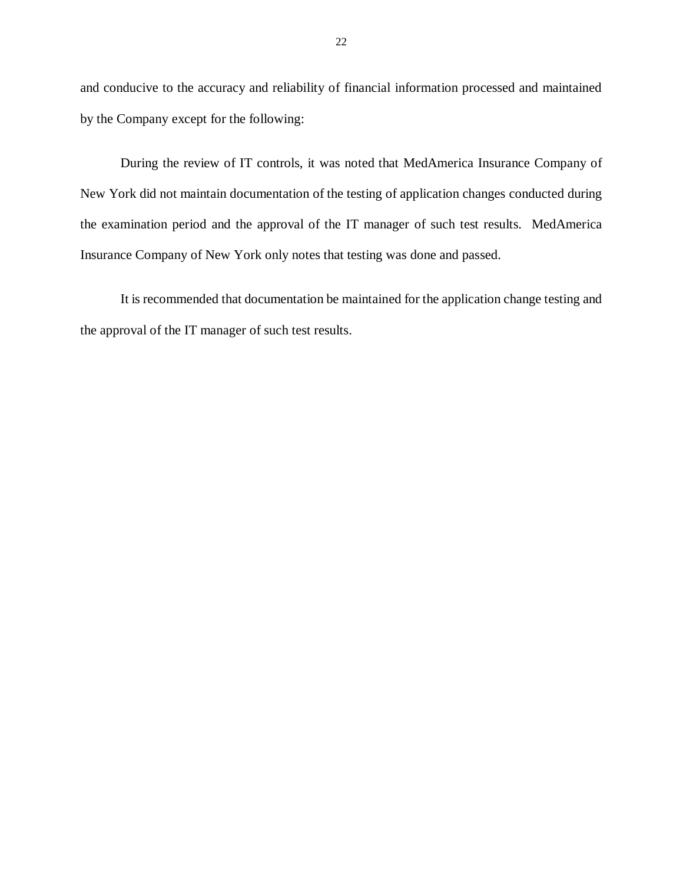and conducive to the accuracy and reliability of financial information processed and maintained by the Company except for the following:

 During the review of IT controls, it was noted that MedAmerica Insurance Company of New York did not maintain documentation of the testing of application changes conducted during the examination period and the approval of the IT manager of such test results. MedAmerica Insurance Company of New York only notes that testing was done and passed.

 the approval of the IT manager of such test results. It is recommended that documentation be maintained for the application change testing and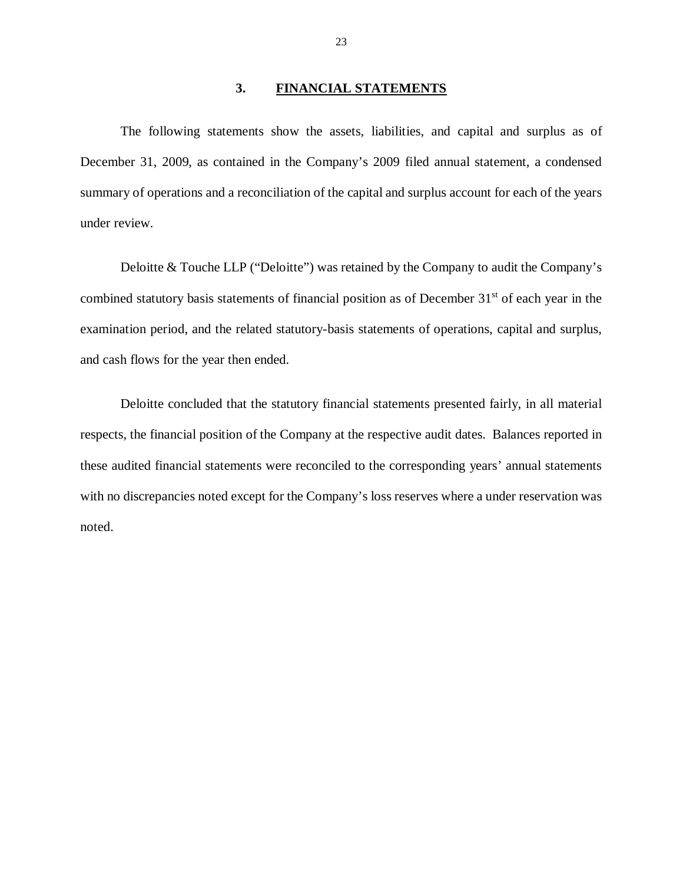#### **3. FINANCIAL STATEMENTS**

<span id="page-24-0"></span> The following statements show the assets, liabilities, and capital and surplus as of December 31, 2009, as contained in the Company's 2009 filed annual statement, a condensed summary of operations and a reconciliation of the capital and surplus account for each of the years under review.

 Deloitte & Touche LLP ("Deloitte") was retained by the Company to audit the Company's combined statutory basis statements of financial position as of December 31<sup>st</sup> of each year in the examination period, and the related statutory-basis statements of operations, capital and surplus, and cash flows for the year then ended.

 Deloitte concluded that the statutory financial statements presented fairly, in all material respects, the financial position of the Company at the respective audit dates. Balances reported in these audited financial statements were reconciled to the corresponding years' annual statements with no discrepancies noted except for the Company's loss reserves where a under reservation was noted.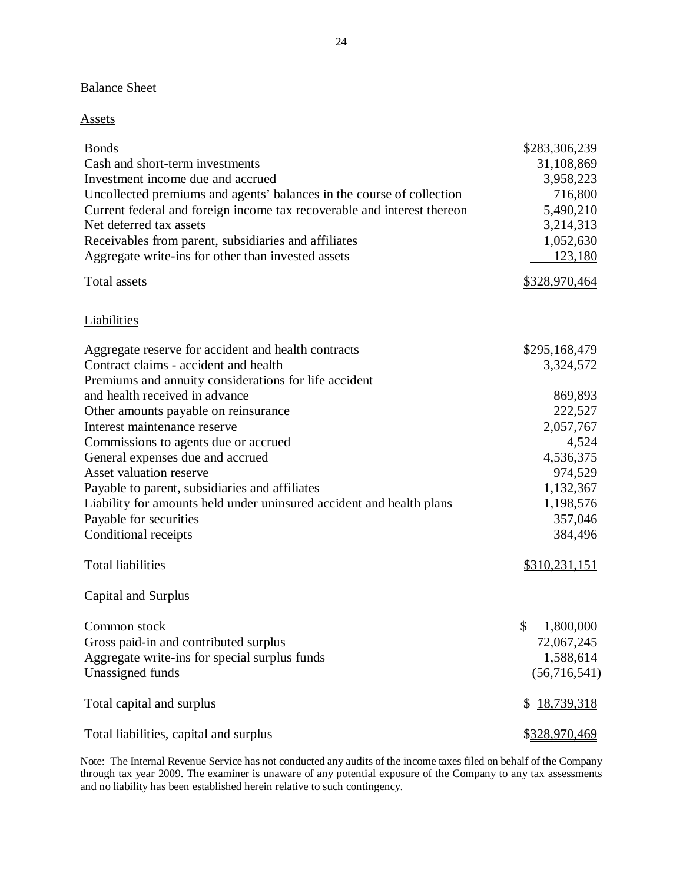#### **Balance Sheet**

#### Assets

| <b>Bonds</b>                                                            | \$283,306,239    |
|-------------------------------------------------------------------------|------------------|
| Cash and short-term investments                                         | 31,108,869       |
| Investment income due and accrued                                       | 3,958,223        |
| Uncollected premiums and agents' balances in the course of collection   | 716,800          |
| Current federal and foreign income tax recoverable and interest thereon | 5,490,210        |
| Net deferred tax assets                                                 | 3,214,313        |
| Receivables from parent, subsidiaries and affiliates                    | 1,052,630        |
| Aggregate write-ins for other than invested assets                      | 123,180          |
| <b>Total assets</b>                                                     | \$328,970,464    |
| <b>Liabilities</b>                                                      |                  |
| Aggregate reserve for accident and health contracts                     | \$295,168,479    |
| Contract claims - accident and health                                   | 3,324,572        |
| Premiums and annuity considerations for life accident                   |                  |
| and health received in advance                                          | 869,893          |
| Other amounts payable on reinsurance                                    | 222,527          |
| Interest maintenance reserve                                            | 2,057,767        |
| Commissions to agents due or accrued                                    | 4,524            |
| General expenses due and accrued                                        | 4,536,375        |
| Asset valuation reserve                                                 | 974,529          |
| Payable to parent, subsidiaries and affiliates                          | 1,132,367        |
| Liability for amounts held under uninsured accident and health plans    | 1,198,576        |
| Payable for securities                                                  | 357,046          |
| Conditional receipts                                                    | 384,496          |
| <b>Total liabilities</b>                                                | \$310,231,151    |
| <b>Capital and Surplus</b>                                              |                  |
| Common stock                                                            | \$<br>1,800,000  |
| Gross paid-in and contributed surplus                                   | 72,067,245       |
| Aggregate write-ins for special surplus funds                           | 1,588,614        |
| Unassigned funds                                                        | (56,716,541)     |
| Total capital and surplus                                               | 18,739,318<br>\$ |
| Total liabilities, capital and surplus                                  | \$328,970,469    |

l. and no liability has been established herein relative to such contingency. Note: The Internal Revenue Service has not conducted any audits of the income taxes filed on behalf of the Company through tax year 2009. The examiner is unaware of any potential exposure of the Company to any tax assessments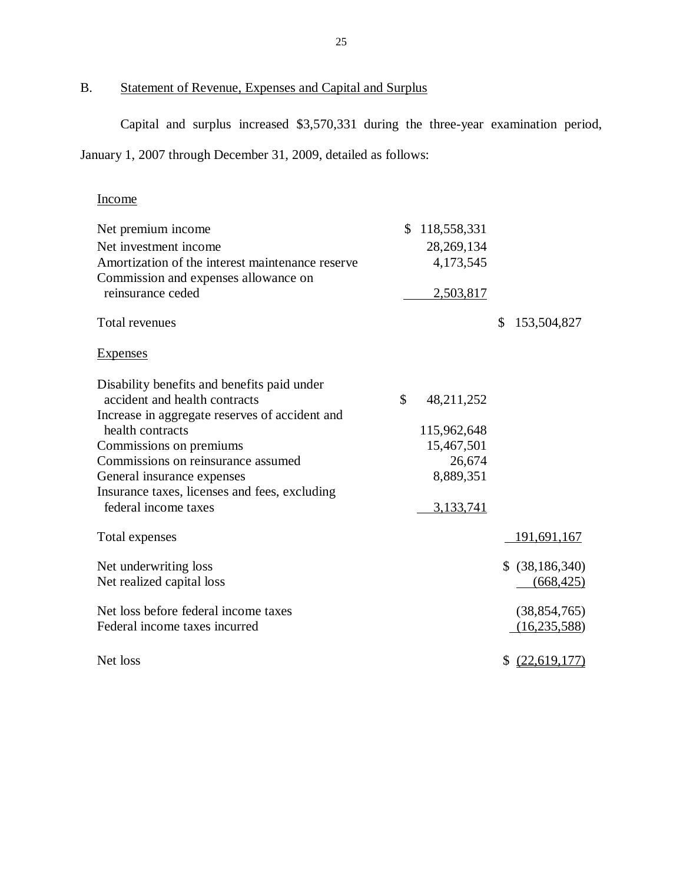#### B. Statement of Revenue, Expenses and Capital and Surplus

Capital and surplus increased \$3,570,331 during the three-year examination period,

January 1, 2007 through December 31, 2009, detailed as follows:

# Income

| Net premium income                               | 118,558,331      |                   |
|--------------------------------------------------|------------------|-------------------|
| Net investment income                            | 28, 269, 134     |                   |
| Amortization of the interest maintenance reserve | 4,173,545        |                   |
| Commission and expenses allowance on             |                  |                   |
| reinsurance ceded                                | 2,503,817        |                   |
| Total revenues                                   |                  | 153,504,827<br>\$ |
| <b>Expenses</b>                                  |                  |                   |
| Disability benefits and benefits paid under      |                  |                   |
| accident and health contracts                    | \$<br>48,211,252 |                   |
| Increase in aggregate reserves of accident and   |                  |                   |
| health contracts                                 | 115,962,648      |                   |
| Commissions on premiums                          | 15,467,501       |                   |
| Commissions on reinsurance assumed               | 26,674           |                   |
| General insurance expenses                       | 8,889,351        |                   |
| Insurance taxes, licenses and fees, excluding    |                  |                   |
| federal income taxes                             | 3,133,741        |                   |
| Total expenses                                   |                  | 191,691,167       |
| Net underwriting loss                            |                  | \$ (38, 186, 340) |
| Net realized capital loss                        |                  | (668, 425)        |
| Net loss before federal income taxes             |                  | (38, 854, 765)    |
| Federal income taxes incurred                    |                  | (16, 235, 588)    |
| Net loss                                         |                  | \$ (22,619,177)   |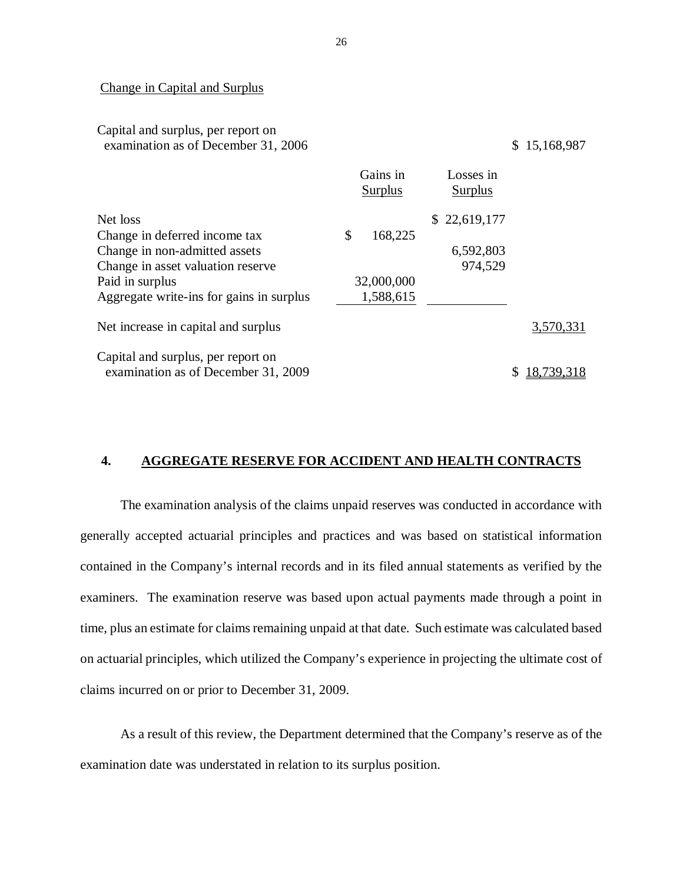#### Change in Capital and Surplus

Capital and surplus, per report on

|                                          | Gains in<br>Surplus | Losses in<br>Surplus |            |
|------------------------------------------|---------------------|----------------------|------------|
| Net loss                                 |                     | \$22,619,177         |            |
| Change in deferred income tax            | \$<br>168,225       |                      |            |
| Change in non-admitted assets            |                     | 6,592,803            |            |
| Change in asset valuation reserve        |                     | 974,529              |            |
| Paid in surplus                          | 32,000,000          |                      |            |
| Aggregate write-ins for gains in surplus | 1,588,615           |                      |            |
| Net increase in capital and surplus      |                     |                      | 3,570,331  |
| Capital and surplus, per report on       |                     |                      |            |
| examination as of December 31, 2009      |                     |                      | 18,739,318 |

# **4. AGGREGATE RESERVE FOR ACCIDENT AND HEALTH CONTRACTS**

 generally accepted actuarial principles and practices and was based on statistical information contained in the Company's internal records and in its filed annual statements as verified by the examiners. The examination reserve was based upon actual payments made through a point in time, plus an estimate for claims remaining unpaid at that date. Such estimate was calculated based on actuarial principles, which utilized the Company's experience in projecting the ultimate cost of claims incurred on or prior to December 31, 2009. The examination analysis of the claims unpaid reserves was conducted in accordance with

 As a result of this review, the Department determined that the Company's reserve as of the examination date was understated in relation to its surplus position.

26

examination as of December 31, 2006  $\qquad \qquad$  \$ 15,168,987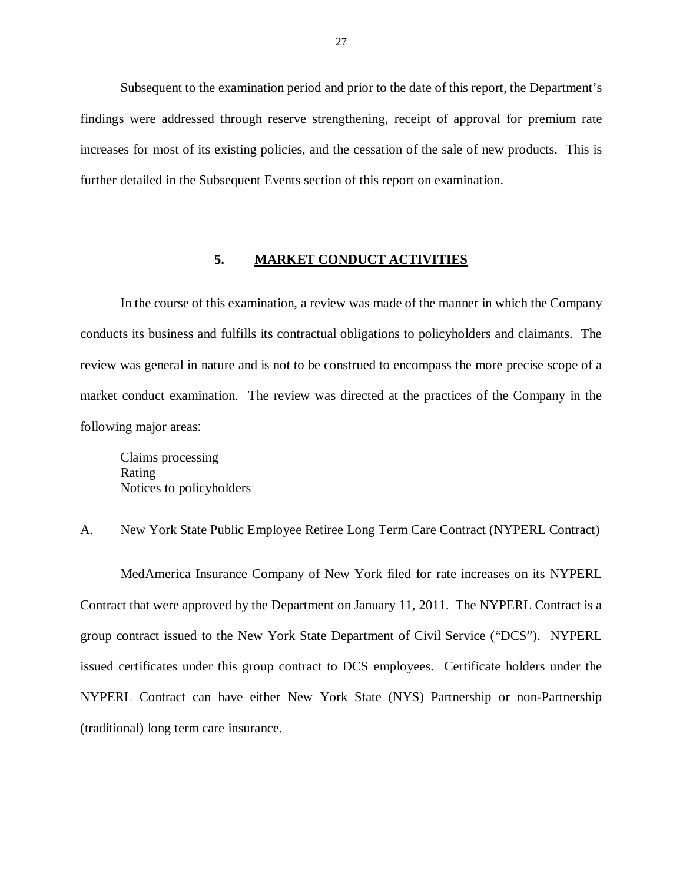<span id="page-28-0"></span> Subsequent to the examination period and prior to the date of this report, the Department's findings were addressed through reserve strengthening, receipt of approval for premium rate increases for most of its existing policies, and the cessation of the sale of new products. This is further detailed in the Subsequent Events section of this report on examination.

#### **5. MARKET CONDUCT ACTIVITIES**

 In the course of this examination, a review was made of the manner in which the Company conducts its business and fulfills its contractual obligations to policyholders and claimants. The review was general in nature and is not to be construed to encompass the more precise scope of a market conduct examination. The review was directed at the practices of the Company in the following major areas:

 Claims processing Notices to policyholders Rating

#### A. New York State Public Employee Retiree Long Term Care Contract (NYPERL Contract)

 MedAmerica Insurance Company of New York filed for rate increases on its NYPERL Contract that were approved by the Department on January 11, 2011. The NYPERL Contract is a group contract issued to the New York State Department of Civil Service ("DCS"). NYPERL issued certificates under this group contract to DCS employees. Certificate holders under the NYPERL Contract can have either New York State (NYS) Partnership or non-Partnership (traditional) long term care insurance.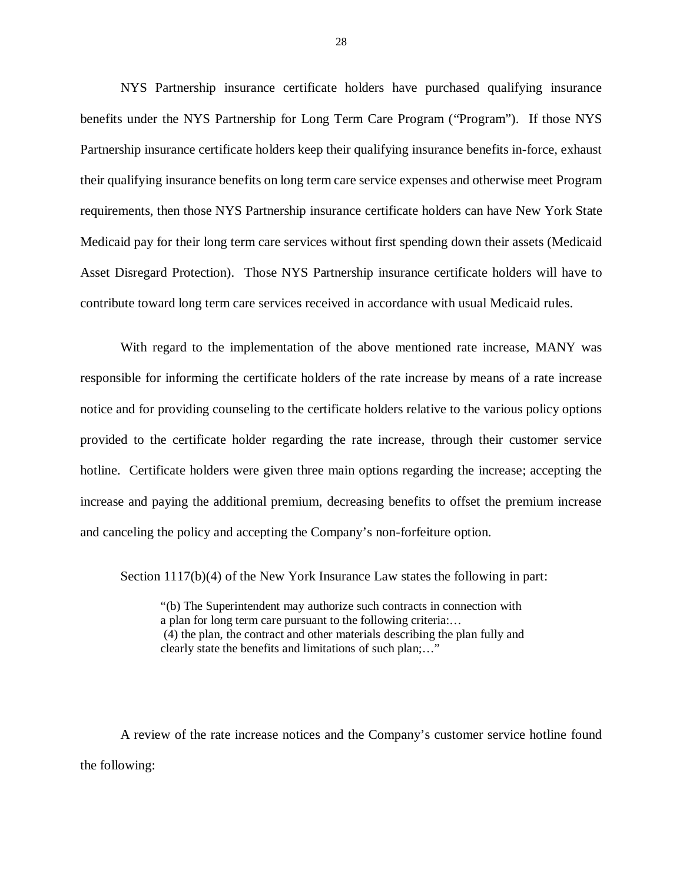NYS Partnership insurance certificate holders have purchased qualifying insurance benefits under the NYS Partnership for Long Term Care Program ("Program"). If those NYS Partnership insurance certificate holders keep their qualifying insurance benefits in-force, exhaust their qualifying insurance benefits on long term care service expenses and otherwise meet Program requirements, then those NYS Partnership insurance certificate holders can have New York State Medicaid pay for their long term care services without first spending down their assets (Medicaid Asset Disregard Protection). Those NYS Partnership insurance certificate holders will have to contribute toward long term care services received in accordance with usual Medicaid rules.

 With regard to the implementation of the above mentioned rate increase, MANY was responsible for informing the certificate holders of the rate increase by means of a rate increase notice and for providing counseling to the certificate holders relative to the various policy options provided to the certificate holder regarding the rate increase, through their customer service hotline. Certificate holders were given three main options regarding the increase; accepting the increase and paying the additional premium, decreasing benefits to offset the premium increase and canceling the policy and accepting the Company's non-forfeiture option.

Section 1117(b)(4) of the New York Insurance Law states the following in part:

 "(b) The Superintendent may authorize such contracts in connection with a plan for long term care pursuant to the following criteria:… (4) the plan, the contract and other materials describing the plan fully and clearly state the benefits and limitations of such plan;…"

 A review of the rate increase notices and the Company's customer service hotline found the following: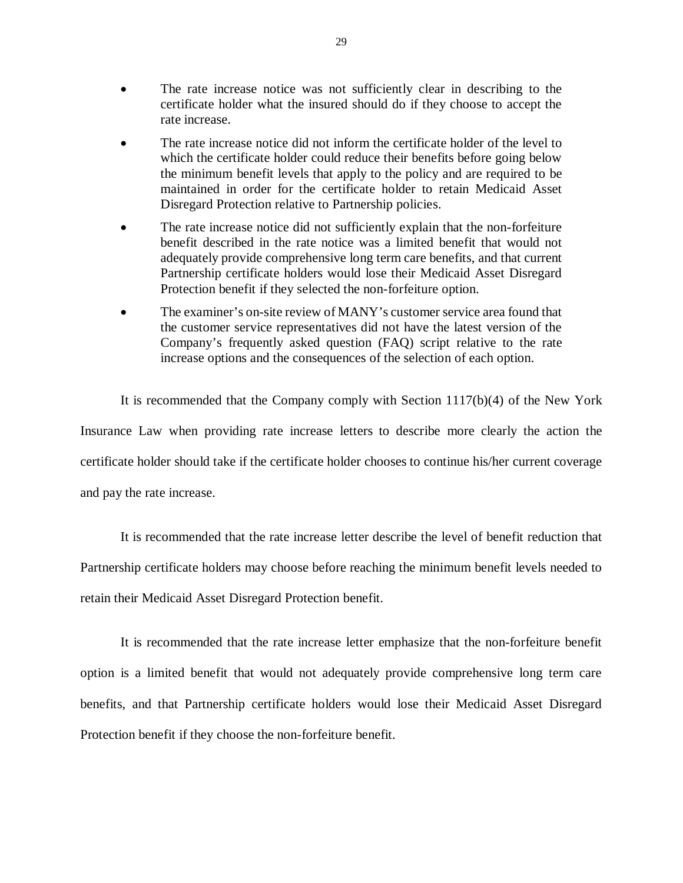- The rate increase notice was not sufficiently clear in describing to the certificate holder what the insured should do if they choose to accept the rate increase.
- The rate increase notice did not inform the certificate holder of the level to which the certificate holder could reduce their benefits before going below the minimum benefit levels that apply to the policy and are required to be maintained in order for the certificate holder to retain Medicaid Asset Disregard Protection relative to Partnership policies.
- The rate increase notice did not sufficiently explain that the non-forfeiture benefit described in the rate notice was a limited benefit that would not adequately provide comprehensive long term care benefits, and that current Partnership certificate holders would lose their Medicaid Asset Disregard Protection benefit if they selected the non-forfeiture option.
- The examiner's on-site review of MANY's customer service area found that the customer service representatives did not have the latest version of the Company's frequently asked question (FAQ) script relative to the rate increase options and the consequences of the selection of each option.

 It is recommended that the Company comply with Section 1117(b)(4) of the New York Insurance Law when providing rate increase letters to describe more clearly the action the certificate holder should take if the certificate holder chooses to continue his/her current coverage and pay the rate increase.

 It is recommended that the rate increase letter describe the level of benefit reduction that Partnership certificate holders may choose before reaching the minimum benefit levels needed to retain their Medicaid Asset Disregard Protection benefit.

 It is recommended that the rate increase letter emphasize that the non-forfeiture benefit option is a limited benefit that would not adequately provide comprehensive long term care benefits, and that Partnership certificate holders would lose their Medicaid Asset Disregard Protection benefit if they choose the non-forfeiture benefit.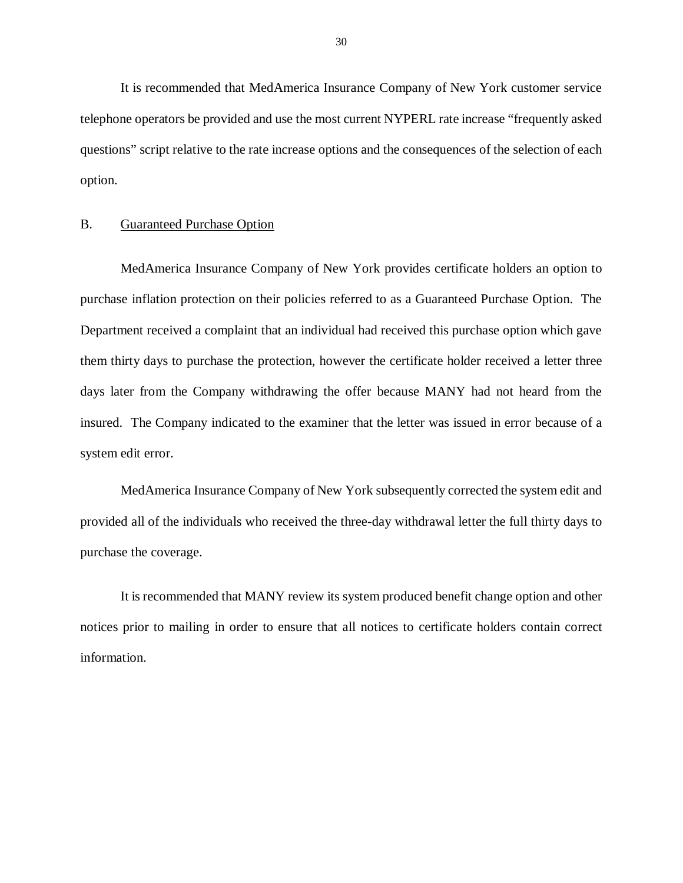<span id="page-31-0"></span> It is recommended that MedAmerica Insurance Company of New York customer service telephone operators be provided and use the most current NYPERL rate increase "frequently asked questions" script relative to the rate increase options and the consequences of the selection of each option.

#### B. Guaranteed Purchase Option

 MedAmerica Insurance Company of New York provides certificate holders an option to purchase inflation protection on their policies referred to as a Guaranteed Purchase Option. The Department received a complaint that an individual had received this purchase option which gave them thirty days to purchase the protection, however the certificate holder received a letter three days later from the Company withdrawing the offer because MANY had not heard from the insured. The Company indicated to the examiner that the letter was issued in error because of a system edit error.

 MedAmerica Insurance Company of New York subsequently corrected the system edit and provided all of the individuals who received the three-day withdrawal letter the full thirty days to purchase the coverage.

 It is recommended that MANY review its system produced benefit change option and other notices prior to mailing in order to ensure that all notices to certificate holders contain correct information.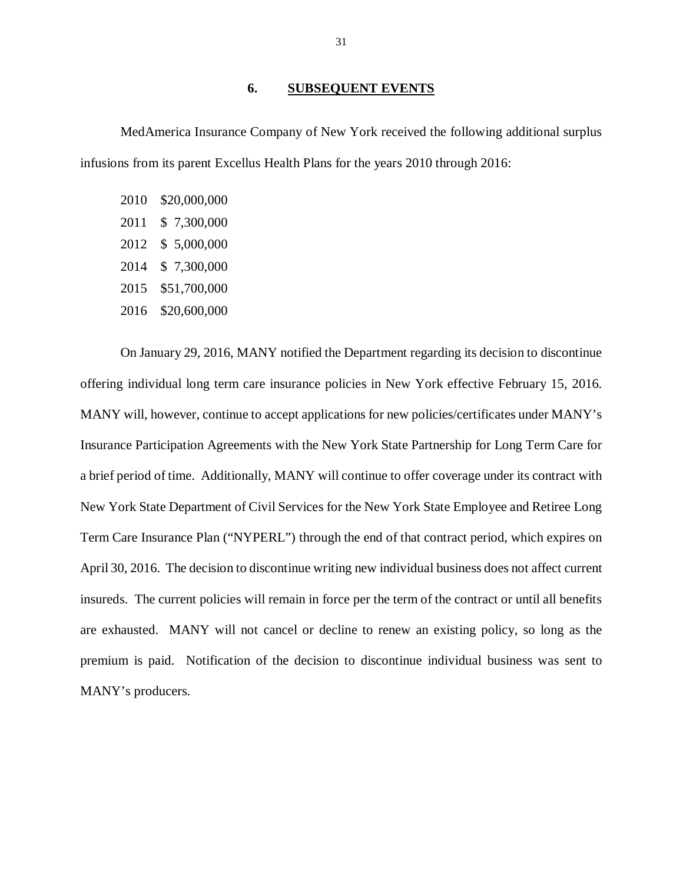#### **6. SUBSEQUENT EVENTS**

<span id="page-32-0"></span> MedAmerica Insurance Company of New York received the following additional surplus infusions from its parent Excellus Health Plans for the years 2010 through 2016:

| 2010 | \$20,000,000 |
|------|--------------|
| 2011 | \$7,300,000  |
| 2012 | \$5,000,000  |
| 2014 | \$7,300,000  |
| 2015 | \$51,700,000 |
| 2016 | \$20,600,000 |

 offering individual long term care insurance policies in New York effective February 15, 2016. MANY will, however, continue to accept applications for new policies/certificates under MANY's Insurance Participation Agreements with the New York State Partnership for Long Term Care for a brief period of time. Additionally, MANY will continue to offer coverage under its contract with New York State Department of Civil Services for the New York State Employee and Retiree Long Term Care Insurance Plan ("NYPERL") through the end of that contract period, which expires on April 30, 2016. The decision to discontinue writing new individual business does not affect current insureds. The current policies will remain in force per the term of the contract or until all benefits are exhausted. MANY will not cancel or decline to renew an existing policy, so long as the premium is paid. Notification of the decision to discontinue individual business was sent to MANY's producers. On January 29, 2016, MANY notified the Department regarding its decision to discontinue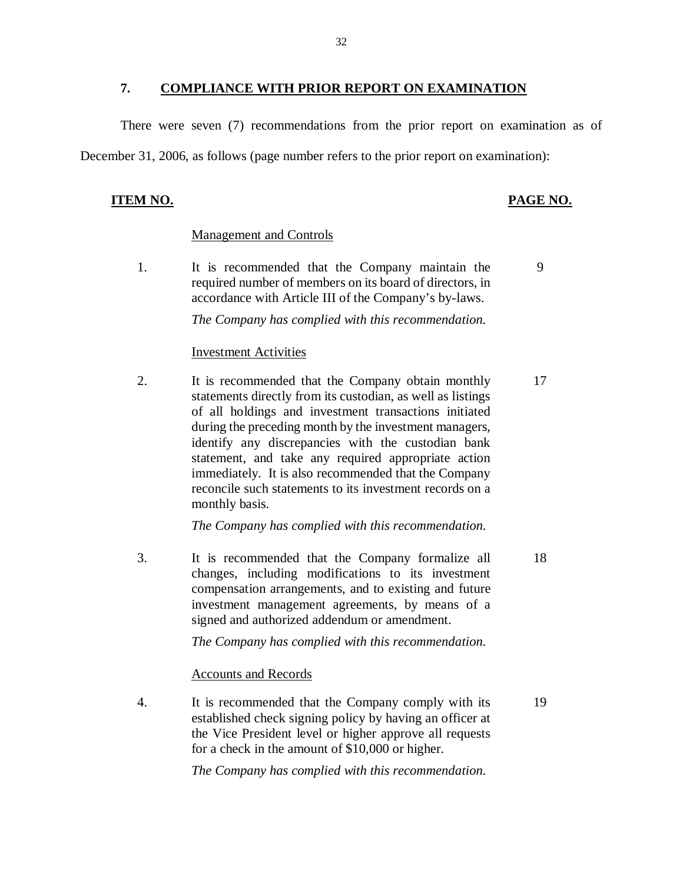#### **7. COMPLIANCE WITH PRIOR REPORT ON EXAMINATION**

<span id="page-33-0"></span> There were seven (7) recommendations from the prior report on examination as of December 31, 2006, as follows (page number refers to the prior report on examination):

#### **ITEM NO.**

#### **PAGE NO.**

#### Management and Controls

1. required number of members on its board of directors, in accordance with Article III of the Company's by-laws. It is recommended that the Company maintain the 9

 *The Company has complied with this recommendation.* 

#### Investment Activities

 $2.$  statements directly from its custodian, as well as listings of all holdings and investment transactions initiated during the preceding month by the investment managers, identify any discrepancies with the custodian bank statement, and take any required appropriate action immediately. It is also recommended that the Company reconcile such statements to its investment records on a monthly basis. It is recommended that the Company obtain monthly 17

 *The Company has complied with this recommendation.* 

3. changes, including modifications to its investment investment management agreements, by means of a signed and authorized addendum or amendment. It is recommended that the Company formalize all 18 compensation arrangements, and to existing and future

 *The Company has complied with this recommendation.* 

Accounts and Records

 $\overline{4}$  established check signing policy by having an officer at the Vice President level or higher approve all requests for a check in the amount of \$10,000 or higher. It is recommended that the Company comply with its 19

 *The Company has complied with this recommendation.*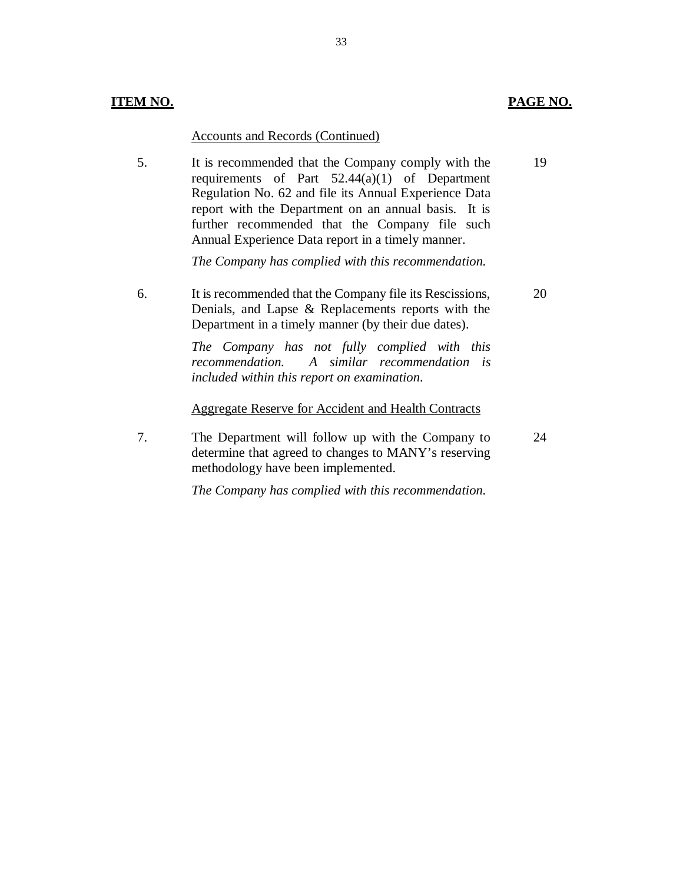20

24

#### Accounts and Records (Continued)

5. requirements of Part 52.44(a)(1) of Department Regulation No. 62 and file its Annual Experience Data report with the Department on an annual basis. It is further recommended that the Company file such Annual Experience Data report in a timely manner. It is recommended that the Company comply with the 19

 *The Company has complied with this recommendation.* 

6. Denials, and Lapse & Replacements reports with the Department in a timely manner (by their due dates). It is recommended that the Company file its Rescissions,

> *The Company has not fully complied with this*  recommendation.  *included within this report on examination. recommendation. A similar recommendation is*

Aggregate Reserve for Accident and Health Contracts

7. determine that agreed to changes to MANY's reserving methodology have been implemented. The Department will follow up with the Company to

 *The Company has complied with this recommendation.*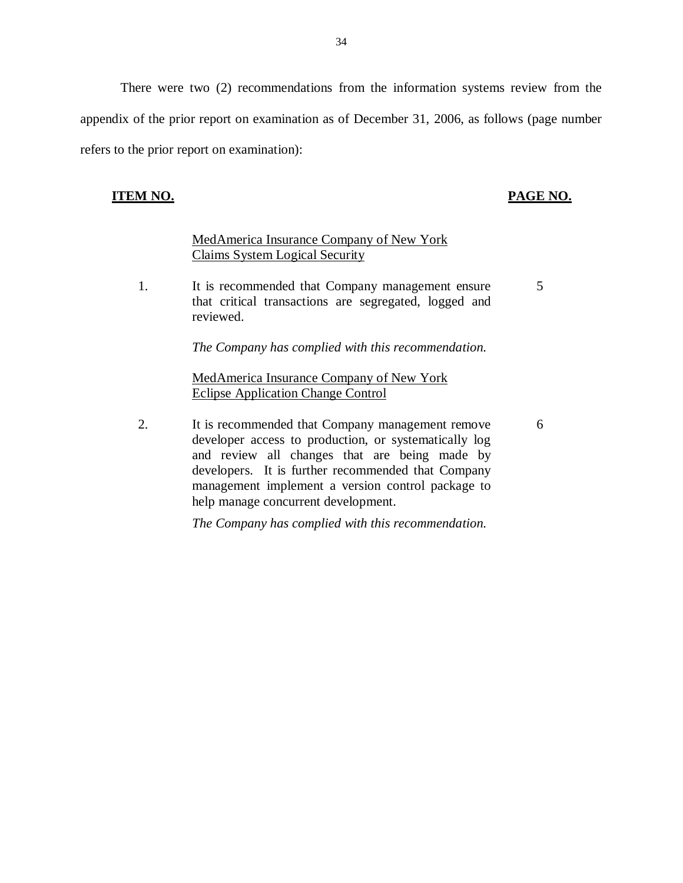<span id="page-35-0"></span> There were two (2) recommendations from the information systems review from the appendix of the prior report on examination as of December 31, 2006, as follows (page number refers to the prior report on examination):

#### **ITEM NO. PAGE NO.**

#### MedAmerica Insurance Company of New York Claims System Logical Security

 $\mathbf{1}$ . that critical transactions are segregated, logged and It is recommended that Company management ensure 5 reviewed.

 *The Company has complied with this recommendation.* 

MedAmerica Insurance Company of New York Eclipse Application Change Control

2. developer access to production, or systematically log and review all changes that are being made by developers. It is further recommended that Company management implement a version control package to help manage concurrent development. It is recommended that Company management remove 6

 *The Company has complied with this recommendation.*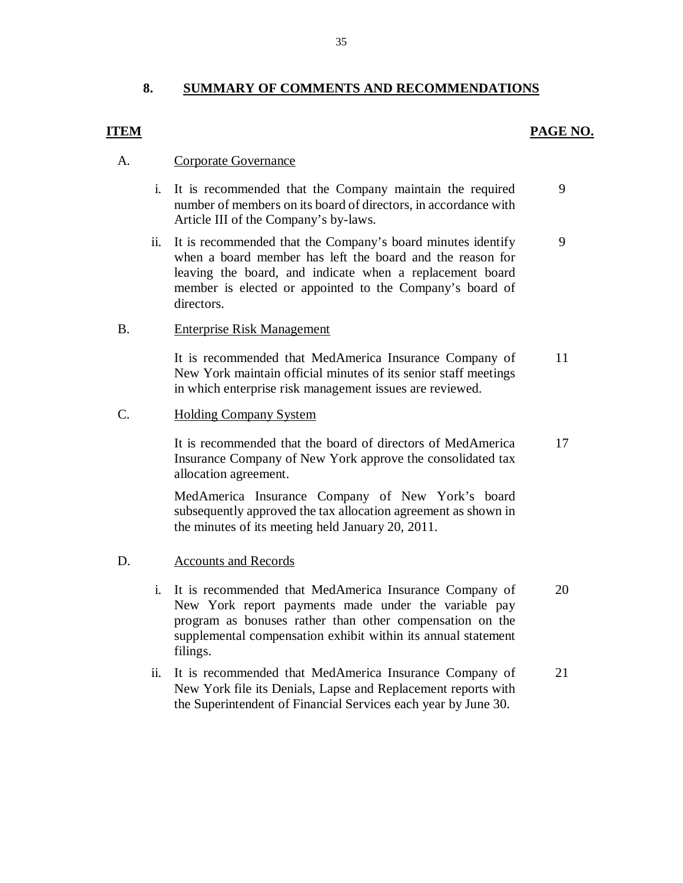### **8. SUMMARY OF COMMENTS AND RECOMMENDATIONS**

### *PAGE NO. PAGE NO.*

#### A. Corporate Governance

- i. It is recommended that the Company maintain the required number of members on its board of directors, in accordance with Article III of the Company's by-laws. 9
- ii. It is recommended that the Company's board minutes identify when a board member has left the board and the reason for leaving the board, and indicate when a replacement board member is elected or appointed to the Company's board of directors. 9

#### B. Enterprise Risk Management

 It is recommended that MedAmerica Insurance Company of New York maintain official minutes of its senior staff meetings in which enterprise risk management issues are reviewed. 11

#### C. Holding Company System

 It is recommended that the board of directors of MedAmerica Insurance Company of New York approve the consolidated tax allocation agreement. 17

 MedAmerica Insurance Company of New York's board subsequently approved the tax allocation agreement as shown in the minutes of its meeting held January 20, 2011.

#### D. Accounts and Records

- i. It is recommended that MedAmerica Insurance Company of New York report payments made under the variable pay program as bonuses rather than other compensation on the supplemental compensation exhibit within its annual statement filings. 20
- ii. It is recommended that MedAmerica Insurance Company of New York file its Denials, Lapse and Replacement reports with the Superintendent of Financial Services each year by June 30. 21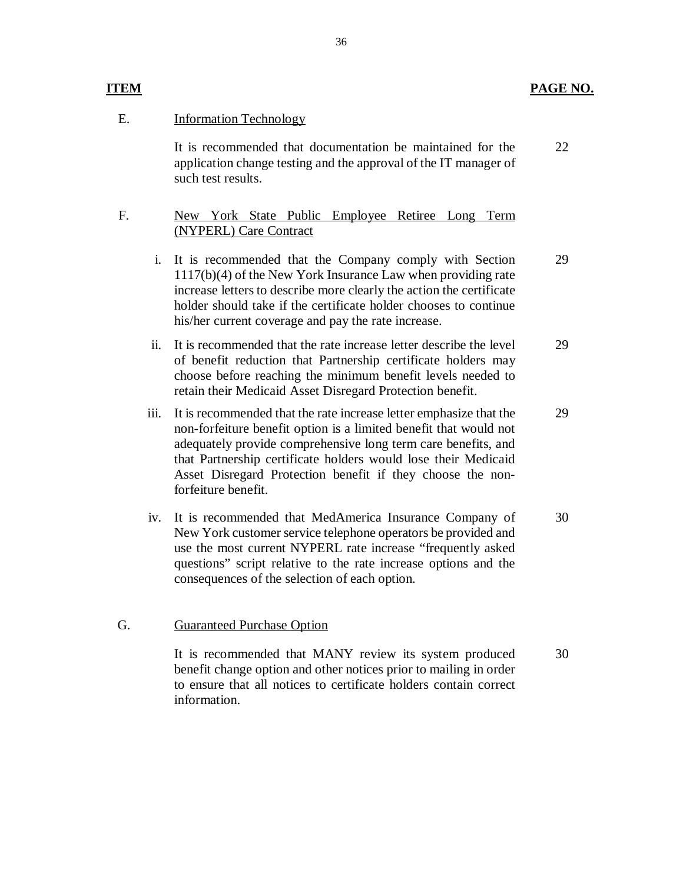#### **ITEM** PAGE NO.

### E. **Information Technology**

 It is recommended that documentation be maintained for the application change testing and the approval of the IT manager of such test results. 22

#### F. New York State Public Employee Retiree Long Term (NYPERL) Care Contract

- i. It is recommended that the Company comply with Section 1117(b)(4) of the New York Insurance Law when providing rate increase letters to describe more clearly the action the certificate holder should take if the certificate holder chooses to continue his/her current coverage and pay the rate increase. 29
- ii. It is recommended that the rate increase letter describe the level of benefit reduction that Partnership certificate holders may choose before reaching the minimum benefit levels needed to retain their Medicaid Asset Disregard Protection benefit. 29
- iii. It is recommended that the rate increase letter emphasize that the non-forfeiture benefit option is a limited benefit that would not adequately provide comprehensive long term care benefits, and that Partnership certificate holders would lose their Medicaid Asset Disregard Protection benefit if they choose the non- forfeiture benefit. 29
- iv. It is recommended that MedAmerica Insurance Company of New York customer service telephone operators be provided and use the most current NYPERL rate increase "frequently asked questions" script relative to the rate increase options and the consequences of the selection of each option. 30

#### G. Guaranteed Purchase Option

 It is recommended that MANY review its system produced benefit change option and other notices prior to mailing in order to ensure that all notices to certificate holders contain correct information. 30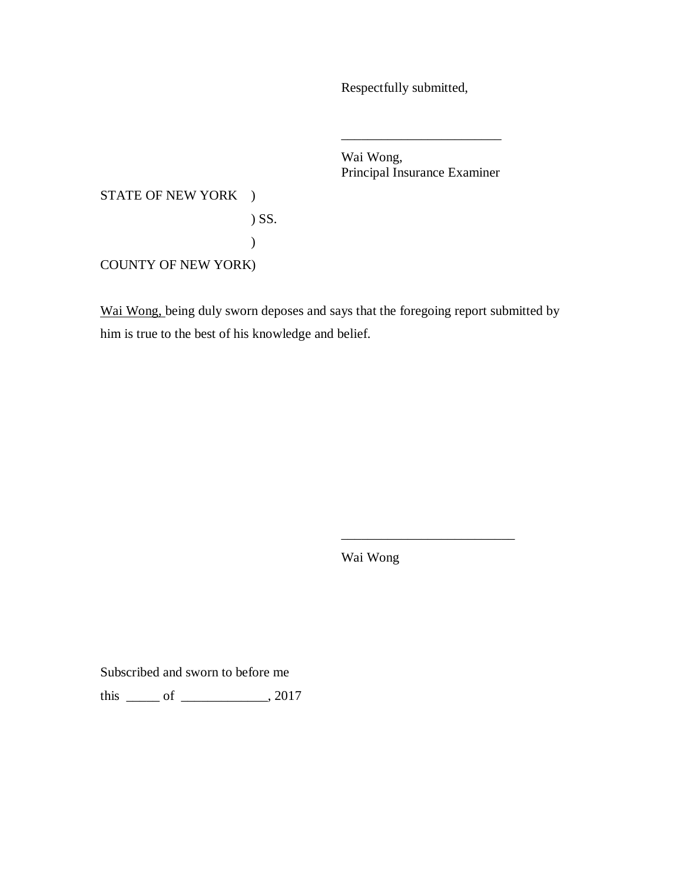Respectfully submitted,

 Wai Wong, Principal Insurance Examiner

\_\_\_\_\_\_\_\_\_\_\_\_\_\_\_\_\_\_\_\_\_\_\_\_

STATE OF NEW YORK )

) SS. )

COUNTY OF NEW YORK)

Wai Wong, being duly sworn deposes and says that the foregoing report submitted by him is true to the best of his knowledge and belief.

Wai Wong

\_\_\_\_\_\_\_\_\_\_\_\_\_\_\_\_\_\_\_\_\_\_\_\_\_\_

Subscribed and sworn to before me

this \_\_\_\_\_ of \_\_\_\_\_\_\_\_\_\_\_\_\_, 2017